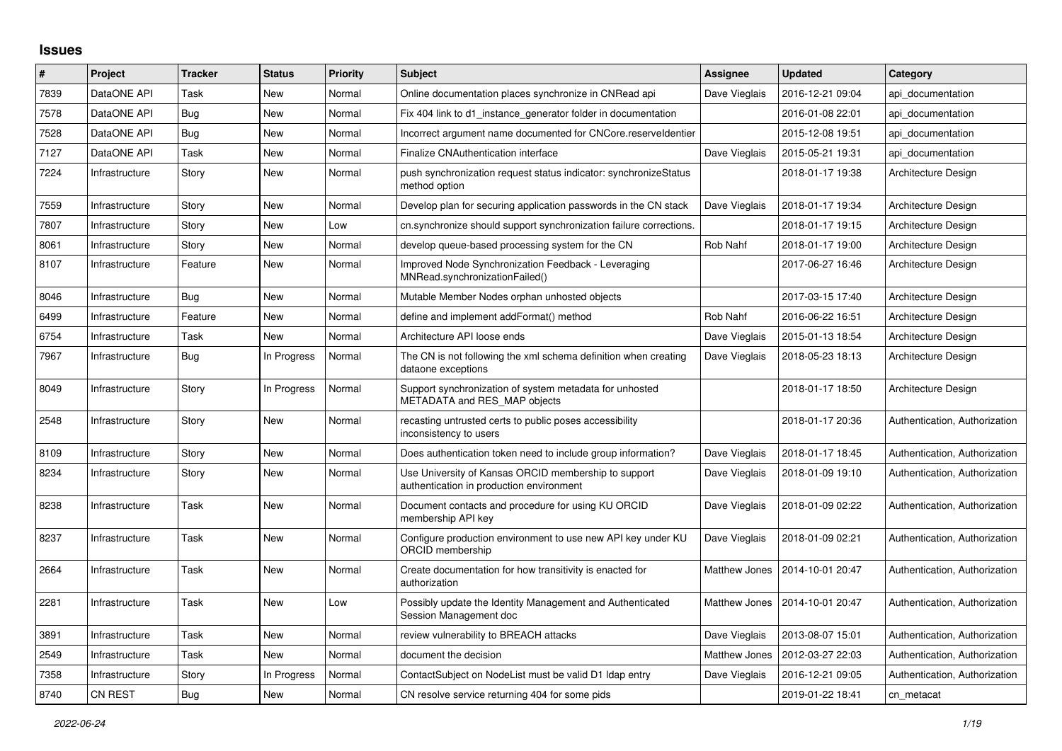## **Issues**

| #    | <b>Project</b> | <b>Tracker</b> | <b>Status</b> | <b>Priority</b> | <b>Subject</b>                                                                                   | <b>Assignee</b> | <b>Updated</b>   | Category                      |
|------|----------------|----------------|---------------|-----------------|--------------------------------------------------------------------------------------------------|-----------------|------------------|-------------------------------|
| 7839 | DataONE API    | Task           | New           | Normal          | Online documentation places synchronize in CNRead api                                            | Dave Vieglais   | 2016-12-21 09:04 | api documentation             |
| 7578 | DataONE API    | Bug            | <b>New</b>    | Normal          | Fix 404 link to d1 instance generator folder in documentation                                    |                 | 2016-01-08 22:01 | api documentation             |
| 7528 | DataONE API    | Bug            | <b>New</b>    | Normal          | Incorrect argument name documented for CNCore.reserveldentier                                    |                 | 2015-12-08 19:51 | api documentation             |
| 7127 | DataONE API    | Task           | <b>New</b>    | Normal          | Finalize CNAuthentication interface                                                              | Dave Vieglais   | 2015-05-21 19:31 | api documentation             |
| 7224 | Infrastructure | Story          | New           | Normal          | push synchronization request status indicator: synchronizeStatus<br>method option                |                 | 2018-01-17 19:38 | Architecture Design           |
| 7559 | Infrastructure | Story          | <b>New</b>    | Normal          | Develop plan for securing application passwords in the CN stack                                  | Dave Vieglais   | 2018-01-17 19:34 | Architecture Design           |
| 7807 | Infrastructure | Story          | <b>New</b>    | Low             | cn.synchronize should support synchronization failure corrections.                               |                 | 2018-01-17 19:15 | Architecture Design           |
| 8061 | Infrastructure | Story          | New           | Normal          | develop queue-based processing system for the CN                                                 | Rob Nahf        | 2018-01-17 19:00 | Architecture Design           |
| 8107 | Infrastructure | Feature        | <b>New</b>    | Normal          | Improved Node Synchronization Feedback - Leveraging<br>MNRead.synchronizationFailed()            |                 | 2017-06-27 16:46 | Architecture Design           |
| 8046 | Infrastructure | Bug            | <b>New</b>    | Normal          | Mutable Member Nodes orphan unhosted objects                                                     |                 | 2017-03-15 17:40 | Architecture Design           |
| 6499 | Infrastructure | Feature        | <b>New</b>    | Normal          | define and implement addFormat() method                                                          | Rob Nahf        | 2016-06-22 16:51 | Architecture Design           |
| 6754 | Infrastructure | Task           | <b>New</b>    | Normal          | Architecture API loose ends                                                                      | Dave Vieglais   | 2015-01-13 18:54 | Architecture Design           |
| 7967 | Infrastructure | Bug            | In Progress   | Normal          | The CN is not following the xml schema definition when creating<br>dataone exceptions            | Dave Vieglais   | 2018-05-23 18:13 | Architecture Design           |
| 8049 | Infrastructure | Story          | In Progress   | Normal          | Support synchronization of system metadata for unhosted<br>METADATA and RES_MAP objects          |                 | 2018-01-17 18:50 | Architecture Design           |
| 2548 | Infrastructure | Story          | <b>New</b>    | Normal          | recasting untrusted certs to public poses accessibility<br>inconsistency to users                |                 | 2018-01-17 20:36 | Authentication, Authorization |
| 8109 | Infrastructure | Story          | <b>New</b>    | Normal          | Does authentication token need to include group information?                                     | Dave Vieglais   | 2018-01-17 18:45 | Authentication, Authorization |
| 8234 | Infrastructure | Story          | <b>New</b>    | Normal          | Use University of Kansas ORCID membership to support<br>authentication in production environment | Dave Vieglais   | 2018-01-09 19:10 | Authentication, Authorization |
| 8238 | Infrastructure | Task           | <b>New</b>    | Normal          | Document contacts and procedure for using KU ORCID<br>membership API key                         | Dave Vieglais   | 2018-01-09 02:22 | Authentication, Authorization |
| 8237 | Infrastructure | Task           | New           | Normal          | Configure production environment to use new API key under KU<br>ORCID membership                 | Dave Vieglais   | 2018-01-09 02:21 | Authentication, Authorization |
| 2664 | Infrastructure | Task           | <b>New</b>    | Normal          | Create documentation for how transitivity is enacted for<br>authorization                        | Matthew Jones   | 2014-10-01 20:47 | Authentication, Authorization |
| 2281 | Infrastructure | Task           | <b>New</b>    | Low             | Possibly update the Identity Management and Authenticated<br>Session Management doc              | Matthew Jones   | 2014-10-01 20:47 | Authentication, Authorization |
| 3891 | Infrastructure | Task           | <b>New</b>    | Normal          | review vulnerability to BREACH attacks                                                           | Dave Vieglais   | 2013-08-07 15:01 | Authentication, Authorization |
| 2549 | Infrastructure | Task           | <b>New</b>    | Normal          | document the decision                                                                            | Matthew Jones   | 2012-03-27 22:03 | Authentication, Authorization |
| 7358 | Infrastructure | Story          | In Progress   | Normal          | ContactSubject on NodeList must be valid D1 Idap entry                                           | Dave Vieglais   | 2016-12-21 09:05 | Authentication, Authorization |
| 8740 | <b>CN REST</b> | Bug            | <b>New</b>    | Normal          | CN resolve service returning 404 for some pids                                                   |                 | 2019-01-22 18:41 | cn metacat                    |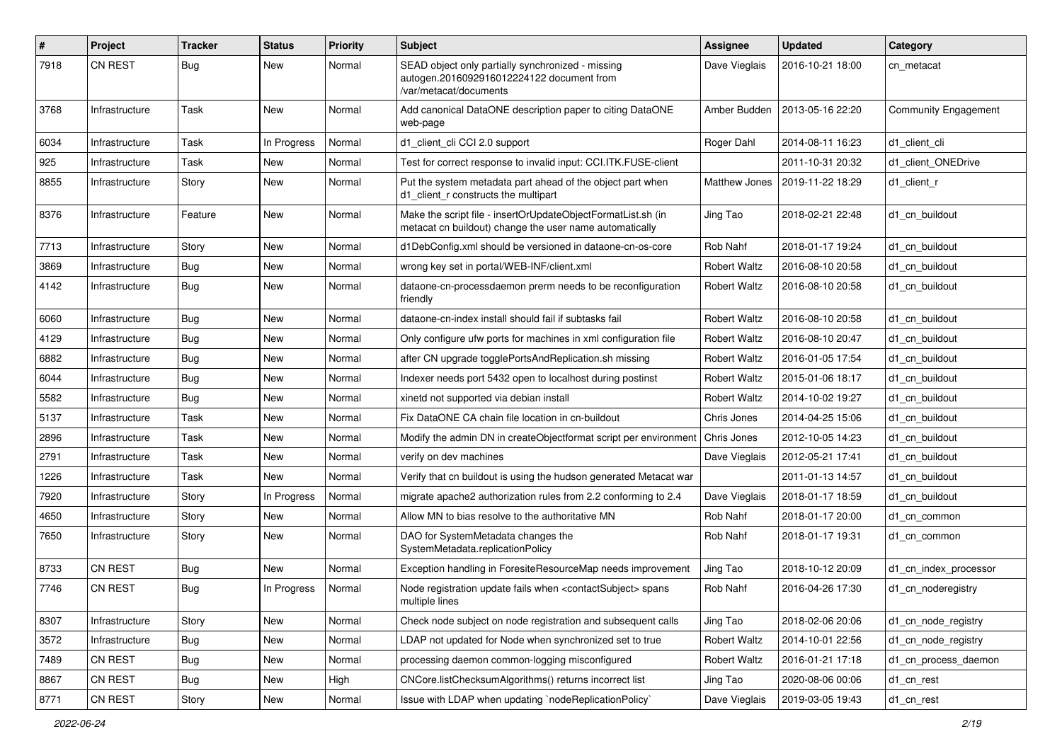| #    | Project        | Tracker    | <b>Status</b> | <b>Priority</b> | Subject                                                                                                                  | <b>Assignee</b>     | <b>Updated</b>   | Category                    |
|------|----------------|------------|---------------|-----------------|--------------------------------------------------------------------------------------------------------------------------|---------------------|------------------|-----------------------------|
| 7918 | <b>CN REST</b> | Bug        | New           | Normal          | SEAD object only partially synchronized - missing<br>autogen.2016092916012224122 document from<br>/var/metacat/documents | Dave Vieglais       | 2016-10-21 18:00 | cn metacat                  |
| 3768 | Infrastructure | Task       | New           | Normal          | Add canonical DataONE description paper to citing DataONE<br>web-page                                                    | Amber Budden        | 2013-05-16 22:20 | <b>Community Engagement</b> |
| 6034 | Infrastructure | Task       | In Progress   | Normal          | d1_client_cli CCI 2.0 support                                                                                            | Roger Dahl          | 2014-08-11 16:23 | d1 client cli               |
| 925  | Infrastructure | Task       | New           | Normal          | Test for correct response to invalid input: CCI.ITK.FUSE-client                                                          |                     | 2011-10-31 20:32 | d1_client_ONEDrive          |
| 8855 | Infrastructure | Story      | New           | Normal          | Put the system metadata part ahead of the object part when<br>d1 client r constructs the multipart                       | Matthew Jones       | 2019-11-22 18:29 | d1 client r                 |
| 8376 | Infrastructure | Feature    | New           | Normal          | Make the script file - insertOrUpdateObjectFormatList.sh (in<br>metacat cn buildout) change the user name automatically  | Jing Tao            | 2018-02-21 22:48 | d1_cn_buildout              |
| 7713 | Infrastructure | Story      | New           | Normal          | d1DebConfig.xml should be versioned in dataone-cn-os-core                                                                | Rob Nahf            | 2018-01-17 19:24 | d1 cn buildout              |
| 3869 | Infrastructure | <b>Bug</b> | New           | Normal          | wrong key set in portal/WEB-INF/client.xml                                                                               | <b>Robert Waltz</b> | 2016-08-10 20:58 | d1 cn buildout              |
| 4142 | Infrastructure | Bug        | New           | Normal          | dataone-cn-processdaemon prerm needs to be reconfiguration<br>friendly                                                   | <b>Robert Waltz</b> | 2016-08-10 20:58 | d1_cn_buildout              |
| 6060 | Infrastructure | <b>Bug</b> | New           | Normal          | dataone-cn-index install should fail if subtasks fail                                                                    | <b>Robert Waltz</b> | 2016-08-10 20:58 | d1 cn buildout              |
| 4129 | Infrastructure | Bug        | New           | Normal          | Only configure ufw ports for machines in xml configuration file                                                          | <b>Robert Waltz</b> | 2016-08-10 20:47 | d1 cn buildout              |
| 6882 | Infrastructure | Bug        | New           | Normal          | after CN upgrade togglePortsAndReplication.sh missing                                                                    | <b>Robert Waltz</b> | 2016-01-05 17:54 | d1 cn buildout              |
| 6044 | Infrastructure | Bug        | New           | Normal          | Indexer needs port 5432 open to localhost during postinst                                                                | <b>Robert Waltz</b> | 2015-01-06 18:17 | d1 cn buildout              |
| 5582 | Infrastructure | Bug        | New           | Normal          | xinetd not supported via debian install                                                                                  | <b>Robert Waltz</b> | 2014-10-02 19:27 | d1 cn buildout              |
| 5137 | Infrastructure | Task       | New           | Normal          | Fix DataONE CA chain file location in cn-buildout                                                                        | Chris Jones         | 2014-04-25 15:06 | d1 cn buildout              |
| 2896 | Infrastructure | Task       | New           | Normal          | Modify the admin DN in createObjectformat script per environment                                                         | Chris Jones         | 2012-10-05 14:23 | d1 cn buildout              |
| 2791 | Infrastructure | Task       | New           | Normal          | verify on dev machines                                                                                                   | Dave Vieglais       | 2012-05-21 17:41 | d1 cn buildout              |
| 1226 | Infrastructure | Task       | New           | Normal          | Verify that cn buildout is using the hudson generated Metacat war                                                        |                     | 2011-01-13 14:57 | d1 cn buildout              |
| 7920 | Infrastructure | Story      | In Progress   | Normal          | migrate apache2 authorization rules from 2.2 conforming to 2.4                                                           | Dave Vieglais       | 2018-01-17 18:59 | d1 cn buildout              |
| 4650 | Infrastructure | Story      | New           | Normal          | Allow MN to bias resolve to the authoritative MN                                                                         | Rob Nahf            | 2018-01-17 20:00 | d1 cn common                |
| 7650 | Infrastructure | Story      | New           | Normal          | DAO for SystemMetadata changes the<br>SystemMetadata.replicationPolicy                                                   | Rob Nahf            | 2018-01-17 19:31 | d1 cn common                |
| 8733 | <b>CN REST</b> | Bug        | New           | Normal          | Exception handling in ForesiteResourceMap needs improvement                                                              | Jing Tao            | 2018-10-12 20:09 | d1 cn index processor       |
| 7746 | <b>CN REST</b> | Bug        | In Progress   | Normal          | Node registration update fails when <contactsubject> spans<br/>multiple lines</contactsubject>                           | Rob Nahf            | 2016-04-26 17:30 | d1 cn noderegistry          |
| 8307 | Infrastructure | Story      | New           | Normal          | Check node subject on node registration and subsequent calls                                                             | Jing Tao            | 2018-02-06 20:06 | d1 cn node registry         |
| 3572 | Infrastructure | <b>Bug</b> | New           | Normal          | LDAP not updated for Node when synchronized set to true                                                                  | <b>Robert Waltz</b> | 2014-10-01 22:56 | d1_cn_node_registry         |
| 7489 | CN REST        | Bug        | New           | Normal          | processing daemon common-logging misconfigured                                                                           | <b>Robert Waltz</b> | 2016-01-21 17:18 | d1_cn_process_daemon        |
| 8867 | CN REST        | <b>Bug</b> | New           | High            | CNCore.listChecksumAlgorithms() returns incorrect list                                                                   | Jing Tao            | 2020-08-06 00:06 | d1_cn_rest                  |
| 8771 | CN REST        | Story      | New           | Normal          | Issue with LDAP when updating `nodeReplicationPolicy`                                                                    | Dave Vieglais       | 2019-03-05 19:43 | d1_cn_rest                  |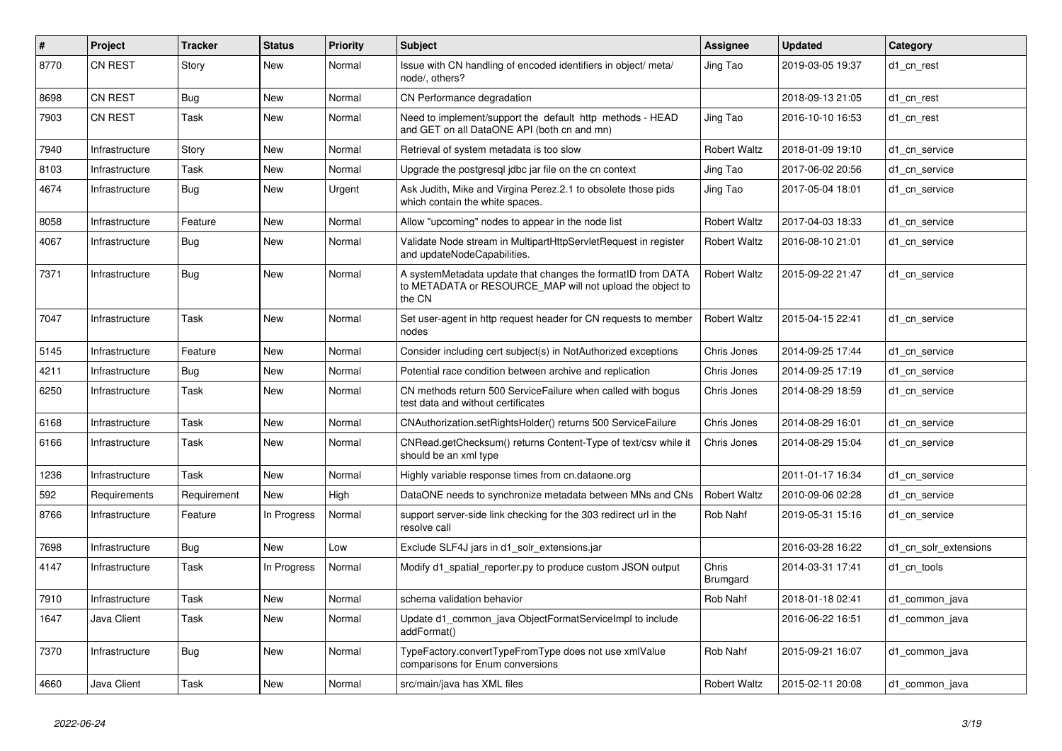| #    | Project        | <b>Tracker</b> | <b>Status</b> | <b>Priority</b> | <b>Subject</b>                                                                                                                     | <b>Assignee</b>     | <b>Updated</b>   | Category              |
|------|----------------|----------------|---------------|-----------------|------------------------------------------------------------------------------------------------------------------------------------|---------------------|------------------|-----------------------|
| 8770 | <b>CN REST</b> | Story          | <b>New</b>    | Normal          | Issue with CN handling of encoded identifiers in object/ meta/<br>node/, others?                                                   | Jing Tao            | 2019-03-05 19:37 | d1_cn_rest            |
| 8698 | <b>CN REST</b> | <b>Bug</b>     | New           | Normal          | CN Performance degradation                                                                                                         |                     | 2018-09-13 21:05 | d1_cn_rest            |
| 7903 | <b>CN REST</b> | Task           | <b>New</b>    | Normal          | Need to implement/support the default http methods - HEAD<br>and GET on all DataONE API (both cn and mn)                           | Jing Tao            | 2016-10-10 16:53 | d1_cn_rest            |
| 7940 | Infrastructure | Story          | <b>New</b>    | Normal          | Retrieval of system metadata is too slow                                                                                           | <b>Robert Waltz</b> | 2018-01-09 19:10 | d1 cn service         |
| 8103 | Infrastructure | Task           | <b>New</b>    | Normal          | Upgrade the postgresql jdbc jar file on the cn context                                                                             | Jing Tao            | 2017-06-02 20:56 | d1 cn service         |
| 4674 | Infrastructure | <b>Bug</b>     | <b>New</b>    | Urgent          | Ask Judith, Mike and Virgina Perez.2.1 to obsolete those pids<br>which contain the white spaces.                                   | Jing Tao            | 2017-05-04 18:01 | d1 cn service         |
| 8058 | Infrastructure | Feature        | New           | Normal          | Allow "upcoming" nodes to appear in the node list                                                                                  | <b>Robert Waltz</b> | 2017-04-03 18:33 | d1 cn service         |
| 4067 | Infrastructure | Bug            | New           | Normal          | Validate Node stream in MultipartHttpServletRequest in register<br>and updateNodeCapabilities.                                     | <b>Robert Waltz</b> | 2016-08-10 21:01 | d1 cn service         |
| 7371 | Infrastructure | <b>Bug</b>     | New           | Normal          | A systemMetadata update that changes the formatID from DATA<br>to METADATA or RESOURCE_MAP will not upload the object to<br>the CN | <b>Robert Waltz</b> | 2015-09-22 21:47 | d1_cn_service         |
| 7047 | Infrastructure | Task           | New           | Normal          | Set user-agent in http request header for CN requests to member<br>nodes                                                           | <b>Robert Waltz</b> | 2015-04-15 22:41 | d1 cn service         |
| 5145 | Infrastructure | Feature        | New           | Normal          | Consider including cert subject(s) in NotAuthorized exceptions                                                                     | Chris Jones         | 2014-09-25 17:44 | d1 cn service         |
| 4211 | Infrastructure | Bug            | New           | Normal          | Potential race condition between archive and replication                                                                           | Chris Jones         | 2014-09-25 17:19 | d1 cn service         |
| 6250 | Infrastructure | Task           | <b>New</b>    | Normal          | CN methods return 500 Service Failure when called with bogus<br>test data and without certificates                                 | Chris Jones         | 2014-08-29 18:59 | d1 cn service         |
| 6168 | Infrastructure | Task           | <b>New</b>    | Normal          | CNAuthorization.setRightsHolder() returns 500 ServiceFailure                                                                       | Chris Jones         | 2014-08-29 16:01 | d1 cn service         |
| 6166 | Infrastructure | Task           | New           | Normal          | CNRead.getChecksum() returns Content-Type of text/csv while it<br>should be an xml type                                            | Chris Jones         | 2014-08-29 15:04 | d1 cn service         |
| 1236 | Infrastructure | Task           | New           | Normal          | Highly variable response times from cn.dataone.org                                                                                 |                     | 2011-01-17 16:34 | d1 cn service         |
| 592  | Requirements   | Requirement    | New           | High            | DataONE needs to synchronize metadata between MNs and CNs                                                                          | <b>Robert Waltz</b> | 2010-09-06 02:28 | d1 cn service         |
| 8766 | Infrastructure | Feature        | In Progress   | Normal          | support server-side link checking for the 303 redirect url in the<br>resolve call                                                  | Rob Nahf            | 2019-05-31 15:16 | d1 cn service         |
| 7698 | Infrastructure | <b>Bug</b>     | <b>New</b>    | Low             | Exclude SLF4J jars in d1 solr extensions.jar                                                                                       |                     | 2016-03-28 16:22 | d1_cn_solr_extensions |
| 4147 | Infrastructure | Task           | In Progress   | Normal          | Modify d1_spatial_reporter.py to produce custom JSON output                                                                        | Chris<br>Brumgard   | 2014-03-31 17:41 | d1_cn_tools           |
| 7910 | Infrastructure | Task           | <b>New</b>    | Normal          | schema validation behavior                                                                                                         | Rob Nahf            | 2018-01-18 02:41 | d1 common java        |
| 1647 | Java Client    | Task           | New           | Normal          | Update d1 common java ObjectFormatServiceImpl to include<br>addFormat()                                                            |                     | 2016-06-22 16:51 | d1 common java        |
| 7370 | Infrastructure | <b>Bug</b>     | <b>New</b>    | Normal          | TypeFactory.convertTypeFromType does not use xmlValue<br>comparisons for Enum conversions                                          | Rob Nahf            | 2015-09-21 16:07 | d1 common java        |
| 4660 | Java Client    | Task           | <b>New</b>    | Normal          | src/main/java has XML files                                                                                                        | <b>Robert Waltz</b> | 2015-02-11 20:08 | d1 common java        |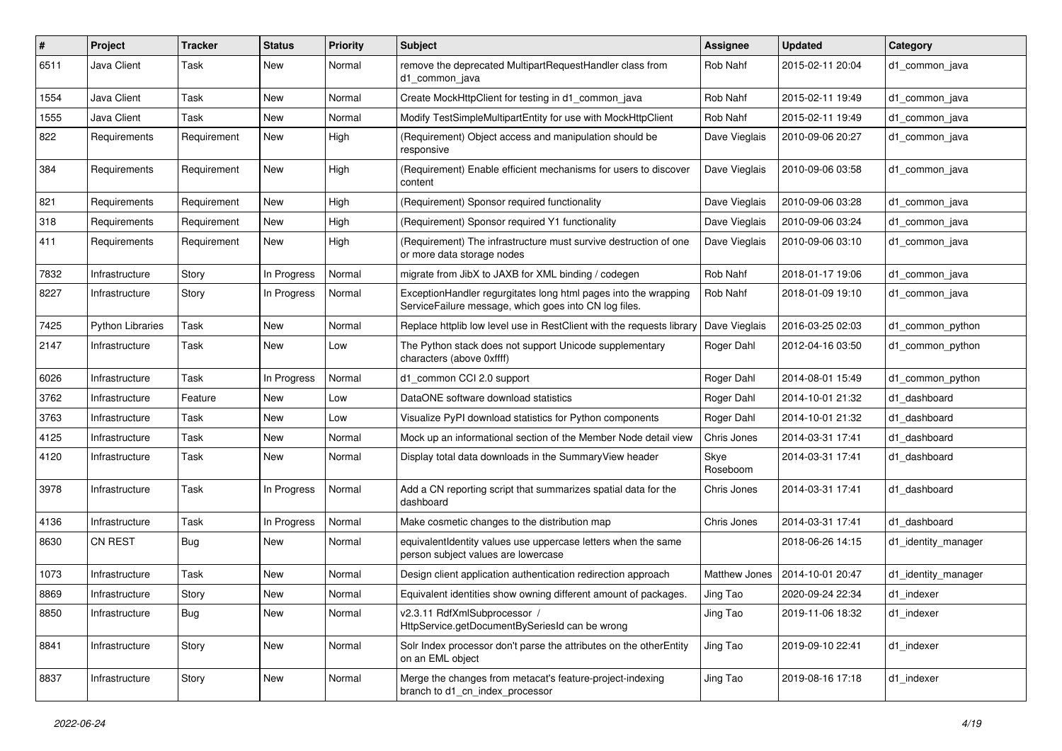| #    | Project                 | <b>Tracker</b> | <b>Status</b> | <b>Priority</b> | Subject                                                                                                                  | <b>Assignee</b>      | <b>Updated</b>   | Category            |
|------|-------------------------|----------------|---------------|-----------------|--------------------------------------------------------------------------------------------------------------------------|----------------------|------------------|---------------------|
| 6511 | Java Client             | Task           | New           | Normal          | remove the deprecated MultipartRequestHandler class from<br>d1 common java                                               | Rob Nahf             | 2015-02-11 20:04 | d1 common java      |
| 1554 | Java Client             | Task           | New           | Normal          | Create MockHttpClient for testing in d1_common_java                                                                      | Rob Nahf             | 2015-02-11 19:49 | d1 common java      |
| 1555 | Java Client             | Task           | New           | Normal          | Modify TestSimpleMultipartEntity for use with MockHttpClient                                                             | Rob Nahf             | 2015-02-11 19:49 | d1_common_java      |
| 822  | Requirements            | Requirement    | New           | High            | (Requirement) Object access and manipulation should be<br>responsive                                                     | Dave Vieglais        | 2010-09-06 20:27 | d1 common java      |
| 384  | Requirements            | Requirement    | New           | High            | (Requirement) Enable efficient mechanisms for users to discover<br>content                                               | Dave Vieglais        | 2010-09-06 03:58 | d1 common java      |
| 821  | Requirements            | Requirement    | New           | High            | (Requirement) Sponsor required functionality                                                                             | Dave Vieglais        | 2010-09-06 03:28 | d1 common java      |
| 318  | Requirements            | Requirement    | New           | High            | (Requirement) Sponsor required Y1 functionality                                                                          | Dave Vieglais        | 2010-09-06 03:24 | d1 common java      |
| 411  | Requirements            | Requirement    | New           | High            | (Requirement) The infrastructure must survive destruction of one<br>or more data storage nodes                           | Dave Vieglais        | 2010-09-06 03:10 | d1 common java      |
| 7832 | Infrastructure          | Story          | In Progress   | Normal          | migrate from JibX to JAXB for XML binding / codegen                                                                      | Rob Nahf             | 2018-01-17 19:06 | d1 common java      |
| 8227 | Infrastructure          | Story          | In Progress   | Normal          | ExceptionHandler regurgitates long html pages into the wrapping<br>ServiceFailure message, which goes into CN log files. | Rob Nahf             | 2018-01-09 19:10 | d1 common java      |
| 7425 | <b>Python Libraries</b> | Task           | New           | Normal          | Replace httplib low level use in RestClient with the requests library                                                    | Dave Vieglais        | 2016-03-25 02:03 | d1 common python    |
| 2147 | Infrastructure          | Task           | New           | Low             | The Python stack does not support Unicode supplementary<br>characters (above 0xffff)                                     | Roger Dahl           | 2012-04-16 03:50 | d1_common_python    |
| 6026 | Infrastructure          | Task           | In Progress   | Normal          | d1 common CCI 2.0 support                                                                                                | Roger Dahl           | 2014-08-01 15:49 | d1_common_python    |
| 3762 | Infrastructure          | Feature        | New           | Low             | DataONE software download statistics                                                                                     | Roger Dahl           | 2014-10-01 21:32 | d1 dashboard        |
| 3763 | Infrastructure          | Task           | New           | Low             | Visualize PyPI download statistics for Python components                                                                 | Roger Dahl           | 2014-10-01 21:32 | d1 dashboard        |
| 4125 | Infrastructure          | Task           | New           | Normal          | Mock up an informational section of the Member Node detail view                                                          | Chris Jones          | 2014-03-31 17:41 | d1 dashboard        |
| 4120 | Infrastructure          | Task           | New           | Normal          | Display total data downloads in the Summary View header                                                                  | Skye<br>Roseboom     | 2014-03-31 17:41 | d1 dashboard        |
| 3978 | Infrastructure          | Task           | In Progress   | Normal          | Add a CN reporting script that summarizes spatial data for the<br>dashboard                                              | Chris Jones          | 2014-03-31 17:41 | d1 dashboard        |
| 4136 | Infrastructure          | Task           | In Progress   | Normal          | Make cosmetic changes to the distribution map                                                                            | Chris Jones          | 2014-03-31 17:41 | d1 dashboard        |
| 8630 | <b>CN REST</b>          | <b>Bug</b>     | New           | Normal          | equivalentIdentity values use uppercase letters when the same<br>person subject values are lowercase                     |                      | 2018-06-26 14:15 | d1_identity_manager |
| 1073 | Infrastructure          | Task           | New           | Normal          | Design client application authentication redirection approach                                                            | <b>Matthew Jones</b> | 2014-10-01 20:47 | d1_identity_manager |
| 8869 | Infrastructure          | Story          | New           | Normal          | Equivalent identities show owning different amount of packages.                                                          | Jing Tao             | 2020-09-24 22:34 | d1 indexer          |
| 8850 | Infrastructure          | <b>Bug</b>     | New           | Normal          | v2.3.11 RdfXmlSubprocessor /<br>HttpService.getDocumentBySeriesId can be wrong                                           | Jing Tao             | 2019-11-06 18:32 | d1_indexer          |
| 8841 | Infrastructure          | Story          | New           | Normal          | Solr Index processor don't parse the attributes on the otherEntity<br>on an EML object                                   | Jing Tao             | 2019-09-10 22:41 | d1 indexer          |
| 8837 | Infrastructure          | Story          | New           | Normal          | Merge the changes from metacat's feature-project-indexing<br>branch to d1 cn index processor                             | Jing Tao             | 2019-08-16 17:18 | d1_indexer          |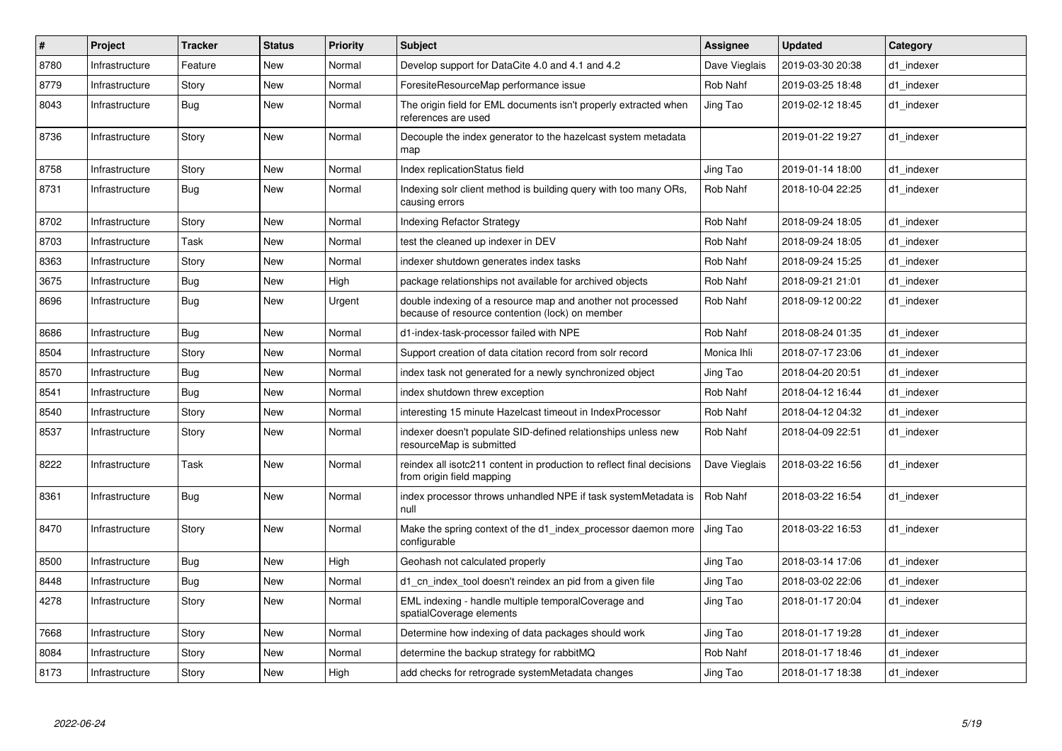| $\vert$ # | Project        | <b>Tracker</b> | <b>Status</b> | <b>Priority</b> | <b>Subject</b>                                                                                                 | Assignee      | <b>Updated</b>   | Category   |
|-----------|----------------|----------------|---------------|-----------------|----------------------------------------------------------------------------------------------------------------|---------------|------------------|------------|
| 8780      | Infrastructure | Feature        | <b>New</b>    | Normal          | Develop support for DataCite 4.0 and 4.1 and 4.2                                                               | Dave Vieglais | 2019-03-30 20:38 | d1 indexer |
| 8779      | Infrastructure | Story          | New           | Normal          | ForesiteResourceMap performance issue                                                                          | Rob Nahf      | 2019-03-25 18:48 | d1_indexer |
| 8043      | Infrastructure | <b>Bug</b>     | New           | Normal          | The origin field for EML documents isn't properly extracted when<br>references are used                        | Jing Tao      | 2019-02-12 18:45 | d1 indexer |
| 8736      | Infrastructure | Story          | <b>New</b>    | Normal          | Decouple the index generator to the hazelcast system metadata<br>map                                           |               | 2019-01-22 19:27 | d1 indexer |
| 8758      | Infrastructure | Story          | New           | Normal          | Index replicationStatus field                                                                                  | Jing Tao      | 2019-01-14 18:00 | d1 indexer |
| 8731      | Infrastructure | <b>Bug</b>     | <b>New</b>    | Normal          | Indexing solr client method is building query with too many ORs,<br>causing errors                             | Rob Nahf      | 2018-10-04 22:25 | d1 indexer |
| 8702      | Infrastructure | Story          | <b>New</b>    | Normal          | <b>Indexing Refactor Strategy</b>                                                                              | Rob Nahf      | 2018-09-24 18:05 | d1_indexer |
| 8703      | Infrastructure | Task           | New           | Normal          | test the cleaned up indexer in DEV                                                                             | Rob Nahf      | 2018-09-24 18:05 | d1 indexer |
| 8363      | Infrastructure | Story          | New           | Normal          | indexer shutdown generates index tasks                                                                         | Rob Nahf      | 2018-09-24 15:25 | d1 indexer |
| 3675      | Infrastructure | <b>Bug</b>     | New           | High            | package relationships not available for archived objects                                                       | Rob Nahf      | 2018-09-21 21:01 | d1 indexer |
| 8696      | Infrastructure | Bug            | New           | Urgent          | double indexing of a resource map and another not processed<br>because of resource contention (lock) on member | Rob Nahf      | 2018-09-12 00:22 | d1 indexer |
| 8686      | Infrastructure | Bug            | New           | Normal          | d1-index-task-processor failed with NPE                                                                        | Rob Nahf      | 2018-08-24 01:35 | d1_indexer |
| 8504      | Infrastructure | Story          | New           | Normal          | Support creation of data citation record from solr record                                                      | Monica Ihli   | 2018-07-17 23:06 | d1 indexer |
| 8570      | Infrastructure | <b>Bug</b>     | New           | Normal          | index task not generated for a newly synchronized object                                                       | Jing Tao      | 2018-04-20 20:51 | d1 indexer |
| 8541      | Infrastructure | Bug            | New           | Normal          | index shutdown threw exception                                                                                 | Rob Nahf      | 2018-04-12 16:44 | d1 indexer |
| 8540      | Infrastructure | Story          | New           | Normal          | interesting 15 minute Hazelcast timeout in IndexProcessor                                                      | Rob Nahf      | 2018-04-12 04:32 | d1 indexer |
| 8537      | Infrastructure | Story          | New           | Normal          | indexer doesn't populate SID-defined relationships unless new<br>resourceMap is submitted                      | Rob Nahf      | 2018-04-09 22:51 | d1 indexer |
| 8222      | Infrastructure | Task           | New           | Normal          | reindex all isotc211 content in production to reflect final decisions<br>from origin field mapping             | Dave Vieglais | 2018-03-22 16:56 | d1 indexer |
| 8361      | Infrastructure | Bug            | New           | Normal          | index processor throws unhandled NPE if task systemMetadata is<br>null                                         | Rob Nahf      | 2018-03-22 16:54 | d1_indexer |
| 8470      | Infrastructure | Story          | New           | Normal          | Make the spring context of the d1_index_processor daemon more<br>configurable                                  | Jing Tao      | 2018-03-22 16:53 | d1_indexer |
| 8500      | Infrastructure | <b>Bug</b>     | New           | High            | Geohash not calculated properly                                                                                | Jing Tao      | 2018-03-14 17:06 | d1_indexer |
| 8448      | Infrastructure | <b>Bug</b>     | New           | Normal          | d1 cn index tool doesn't reindex an pid from a given file                                                      | Jing Tao      | 2018-03-02 22:06 | d1 indexer |
| 4278      | Infrastructure | Story          | New           | Normal          | EML indexing - handle multiple temporalCoverage and<br>spatialCoverage elements                                | Jing Tao      | 2018-01-17 20:04 | d1 indexer |
| 7668      | Infrastructure | Story          | New           | Normal          | Determine how indexing of data packages should work                                                            | Jing Tao      | 2018-01-17 19:28 | d1_indexer |
| 8084      | Infrastructure | Story          | New           | Normal          | determine the backup strategy for rabbitMQ                                                                     | Rob Nahf      | 2018-01-17 18:46 | d1 indexer |
| 8173      | Infrastructure | Story          | New           | High            | add checks for retrograde systemMetadata changes                                                               | Jing Tao      | 2018-01-17 18:38 | d1 indexer |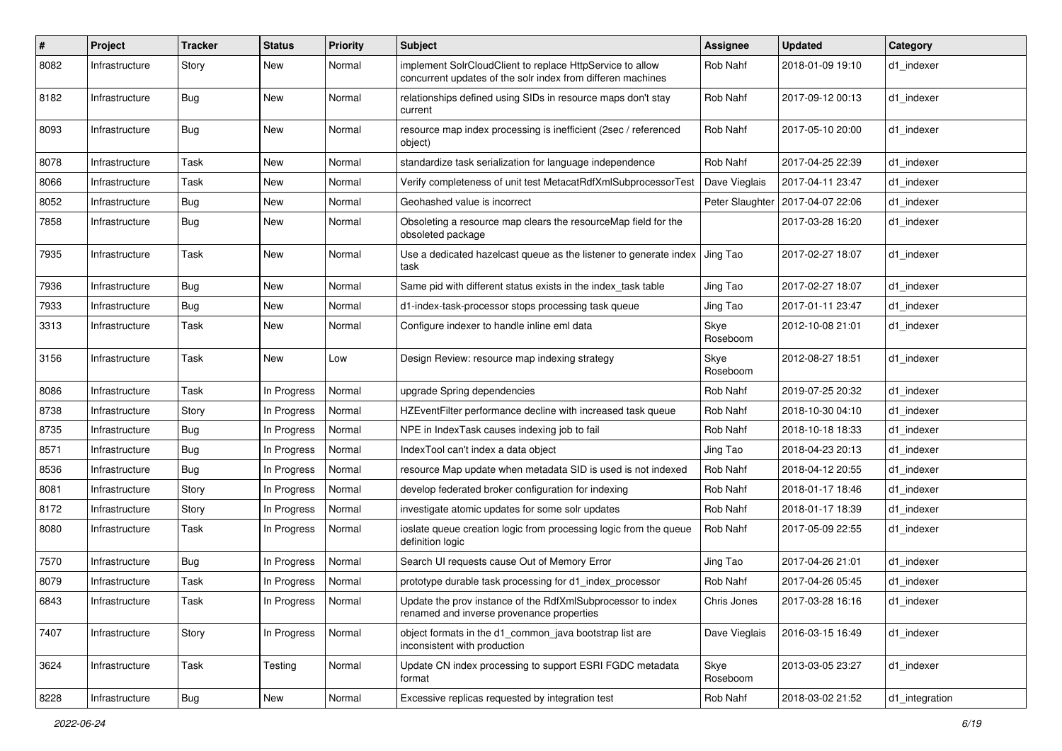| $\#$ | Project        | <b>Tracker</b> | <b>Status</b> | <b>Priority</b> | <b>Subject</b>                                                                                                           | <b>Assignee</b>  | <b>Updated</b>   | Category       |
|------|----------------|----------------|---------------|-----------------|--------------------------------------------------------------------------------------------------------------------------|------------------|------------------|----------------|
| 8082 | Infrastructure | Story          | New           | Normal          | implement SolrCloudClient to replace HttpService to allow<br>concurrent updates of the solr index from differen machines | Rob Nahf         | 2018-01-09 19:10 | d1 indexer     |
| 8182 | Infrastructure | <b>Bug</b>     | New           | Normal          | relationships defined using SIDs in resource maps don't stay<br>current                                                  | Rob Nahf         | 2017-09-12 00:13 | d1_indexer     |
| 8093 | Infrastructure | Bug            | New           | Normal          | resource map index processing is inefficient (2sec / referenced<br>object)                                               | Rob Nahf         | 2017-05-10 20:00 | d1 indexer     |
| 8078 | Infrastructure | Task           | New           | Normal          | standardize task serialization for language independence                                                                 | Rob Nahf         | 2017-04-25 22:39 | d1 indexer     |
| 8066 | Infrastructure | Task           | New           | Normal          | Verify completeness of unit test MetacatRdfXmlSubprocessorTest                                                           | Dave Vieglais    | 2017-04-11 23:47 | d1 indexer     |
| 8052 | Infrastructure | <b>Bug</b>     | New           | Normal          | Geohashed value is incorrect                                                                                             | Peter Slaughter  | 2017-04-07 22:06 | d1 indexer     |
| 7858 | Infrastructure | <b>Bug</b>     | New           | Normal          | Obsoleting a resource map clears the resourceMap field for the<br>obsoleted package                                      |                  | 2017-03-28 16:20 | d1_indexer     |
| 7935 | Infrastructure | Task           | New           | Normal          | Use a dedicated hazelcast queue as the listener to generate index<br>task                                                | Jing Tao         | 2017-02-27 18:07 | d1_indexer     |
| 7936 | Infrastructure | <b>Bug</b>     | New           | Normal          | Same pid with different status exists in the index task table                                                            | Jing Tao         | 2017-02-27 18:07 | d1_indexer     |
| 7933 | Infrastructure | <b>Bug</b>     | New           | Normal          | d1-index-task-processor stops processing task queue                                                                      | Jing Tao         | 2017-01-11 23:47 | d1_indexer     |
| 3313 | Infrastructure | Task           | New           | Normal          | Configure indexer to handle inline eml data                                                                              | Skye<br>Roseboom | 2012-10-08 21:01 | d1 indexer     |
| 3156 | Infrastructure | Task           | New           | Low             | Design Review: resource map indexing strategy                                                                            | Skye<br>Roseboom | 2012-08-27 18:51 | d1_indexer     |
| 8086 | Infrastructure | Task           | In Progress   | Normal          | upgrade Spring dependencies                                                                                              | Rob Nahf         | 2019-07-25 20:32 | d1_indexer     |
| 8738 | Infrastructure | Story          | In Progress   | Normal          | HZEventFilter performance decline with increased task queue                                                              | Rob Nahf         | 2018-10-30 04:10 | d1_indexer     |
| 8735 | Infrastructure | <b>Bug</b>     | In Progress   | Normal          | NPE in IndexTask causes indexing job to fail                                                                             | Rob Nahf         | 2018-10-18 18:33 | d1 indexer     |
| 8571 | Infrastructure | <b>Bug</b>     | In Progress   | Normal          | IndexTool can't index a data object                                                                                      | Jing Tao         | 2018-04-23 20:13 | d1 indexer     |
| 8536 | Infrastructure | Bug            | In Progress   | Normal          | resource Map update when metadata SID is used is not indexed                                                             | Rob Nahf         | 2018-04-12 20:55 | d1 indexer     |
| 8081 | Infrastructure | Story          | In Progress   | Normal          | develop federated broker configuration for indexing                                                                      | Rob Nahf         | 2018-01-17 18:46 | d1 indexer     |
| 8172 | Infrastructure | Story          | In Progress   | Normal          | investigate atomic updates for some solr updates                                                                         | Rob Nahf         | 2018-01-17 18:39 | d1_indexer     |
| 8080 | Infrastructure | Task           | In Progress   | Normal          | ioslate queue creation logic from processing logic from the queue<br>definition logic                                    | Rob Nahf         | 2017-05-09 22:55 | d1 indexer     |
| 7570 | Infrastructure | <b>Bug</b>     | In Progress   | Normal          | Search UI requests cause Out of Memory Error                                                                             | Jing Tao         | 2017-04-26 21:01 | d1_indexer     |
| 8079 | Infrastructure | Task           | In Progress   | Normal          | prototype durable task processing for d1 index processor                                                                 | Rob Nahf         | 2017-04-26 05:45 | d1 indexer     |
| 6843 | Infrastructure | Task           | In Progress   | Normal          | Update the prov instance of the RdfXmlSubprocessor to index<br>renamed and inverse provenance properties                 | Chris Jones      | 2017-03-28 16:16 | d1_indexer     |
| 7407 | Infrastructure | Story          | In Progress   | Normal          | object formats in the d1_common_java bootstrap list are<br>inconsistent with production                                  | Dave Vieglais    | 2016-03-15 16:49 | d1 indexer     |
| 3624 | Infrastructure | Task           | Testing       | Normal          | Update CN index processing to support ESRI FGDC metadata<br>format                                                       | Skye<br>Roseboom | 2013-03-05 23:27 | d1 indexer     |
| 8228 | Infrastructure | Bug            | New           | Normal          | Excessive replicas requested by integration test                                                                         | Rob Nahf         | 2018-03-02 21:52 | d1_integration |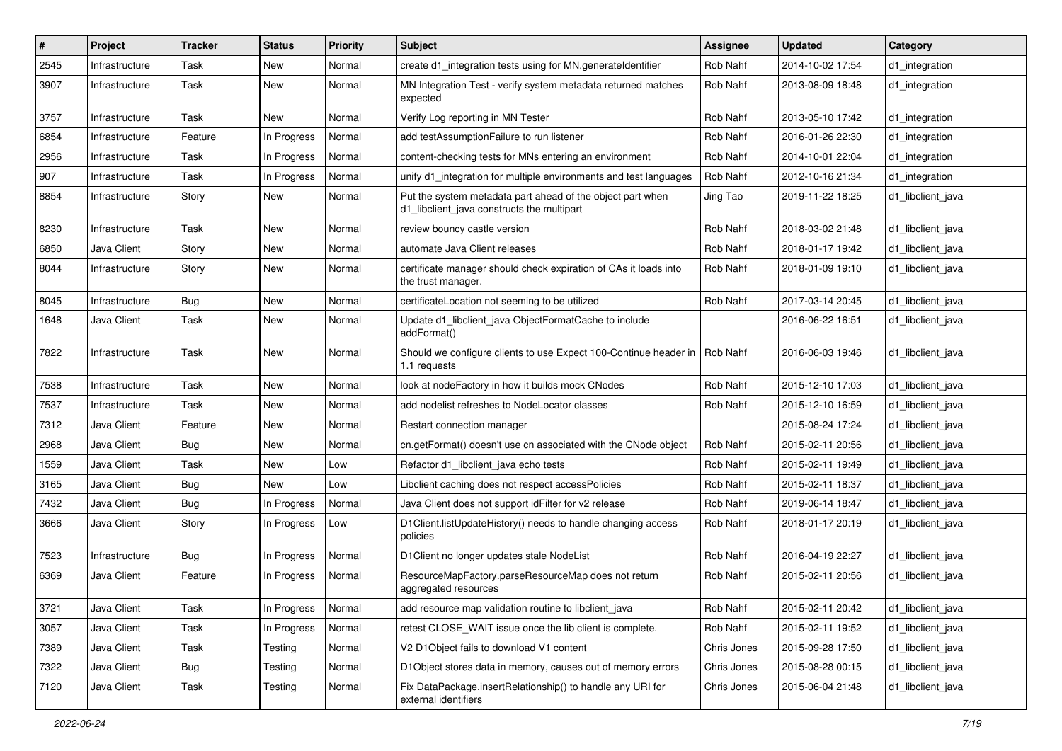| #    | Project        | <b>Tracker</b> | <b>Status</b> | <b>Priority</b> | <b>Subject</b>                                                                                           | Assignee    | <b>Updated</b>   | Category          |
|------|----------------|----------------|---------------|-----------------|----------------------------------------------------------------------------------------------------------|-------------|------------------|-------------------|
| 2545 | Infrastructure | Task           | New           | Normal          | create d1_integration tests using for MN.generateIdentifier                                              | Rob Nahf    | 2014-10-02 17:54 | d1_integration    |
| 3907 | Infrastructure | Task           | New           | Normal          | MN Integration Test - verify system metadata returned matches<br>expected                                | Rob Nahf    | 2013-08-09 18:48 | d1_integration    |
| 3757 | Infrastructure | Task           | New           | Normal          | Verify Log reporting in MN Tester                                                                        | Rob Nahf    | 2013-05-10 17:42 | d1_integration    |
| 6854 | Infrastructure | Feature        | In Progress   | Normal          | add testAssumptionFailure to run listener                                                                | Rob Nahf    | 2016-01-26 22:30 | d1_integration    |
| 2956 | Infrastructure | Task           | In Progress   | Normal          | content-checking tests for MNs entering an environment                                                   | Rob Nahf    | 2014-10-01 22:04 | d1_integration    |
| 907  | Infrastructure | Task           | In Progress   | Normal          | unify d1_integration for multiple environments and test languages                                        | Rob Nahf    | 2012-10-16 21:34 | d1_integration    |
| 8854 | Infrastructure | Story          | New           | Normal          | Put the system metadata part ahead of the object part when<br>d1_libclient_java constructs the multipart | Jing Tao    | 2019-11-22 18:25 | d1_libclient_java |
| 8230 | Infrastructure | Task           | New           | Normal          | review bouncy castle version                                                                             | Rob Nahf    | 2018-03-02 21:48 | d1_libclient_java |
| 6850 | Java Client    | Story          | New           | Normal          | automate Java Client releases                                                                            | Rob Nahf    | 2018-01-17 19:42 | d1 libclient java |
| 8044 | Infrastructure | Story          | New           | Normal          | certificate manager should check expiration of CAs it loads into<br>the trust manager.                   | Rob Nahf    | 2018-01-09 19:10 | d1 libclient java |
| 8045 | Infrastructure | <b>Bug</b>     | New           | Normal          | certificateLocation not seeming to be utilized                                                           | Rob Nahf    | 2017-03-14 20:45 | d1 libclient java |
| 1648 | Java Client    | Task           | New           | Normal          | Update d1_libclient_java ObjectFormatCache to include<br>addFormat()                                     |             | 2016-06-22 16:51 | d1 libclient java |
| 7822 | Infrastructure | Task           | New           | Normal          | Should we configure clients to use Expect 100-Continue header in<br>1.1 requests                         | Rob Nahf    | 2016-06-03 19:46 | d1 libclient java |
| 7538 | Infrastructure | Task           | New           | Normal          | look at nodeFactory in how it builds mock CNodes                                                         | Rob Nahf    | 2015-12-10 17:03 | d1 libclient java |
| 7537 | Infrastructure | Task           | New           | Normal          | add nodelist refreshes to NodeLocator classes                                                            | Rob Nahf    | 2015-12-10 16:59 | d1 libclient java |
| 7312 | Java Client    | Feature        | New           | Normal          | Restart connection manager                                                                               |             | 2015-08-24 17:24 | d1 libclient java |
| 2968 | Java Client    | <b>Bug</b>     | New           | Normal          | cn.getFormat() doesn't use cn associated with the CNode object                                           | Rob Nahf    | 2015-02-11 20:56 | d1 libclient java |
| 1559 | Java Client    | Task           | New           | Low             | Refactor d1 libclient java echo tests                                                                    | Rob Nahf    | 2015-02-11 19:49 | d1 libclient java |
| 3165 | Java Client    | <b>Bug</b>     | New           | Low             | Libclient caching does not respect accessPolicies                                                        | Rob Nahf    | 2015-02-11 18:37 | d1 libclient java |
| 7432 | Java Client    | Bug            | In Progress   | Normal          | Java Client does not support idFilter for v2 release                                                     | Rob Nahf    | 2019-06-14 18:47 | d1_libclient_java |
| 3666 | Java Client    | Story          | In Progress   | Low             | D1Client.listUpdateHistory() needs to handle changing access<br>policies                                 | Rob Nahf    | 2018-01-17 20:19 | d1 libclient java |
| 7523 | Infrastructure | <b>Bug</b>     | In Progress   | Normal          | D1Client no longer updates stale NodeList                                                                | Rob Nahf    | 2016-04-19 22:27 | d1 libclient java |
| 6369 | Java Client    | Feature        | In Progress   | Normal          | ResourceMapFactory.parseResourceMap does not return<br>aggregated resources                              | Rob Nahf    | 2015-02-11 20:56 | d1 libclient java |
| 3721 | Java Client    | Task           | In Progress   | Normal          | add resource map validation routine to libclient_java                                                    | Rob Nahf    | 2015-02-11 20:42 | d1_libclient_java |
| 3057 | Java Client    | Task           | In Progress   | Normal          | retest CLOSE WAIT issue once the lib client is complete.                                                 | Rob Nahf    | 2015-02-11 19:52 | d1_libclient_java |
| 7389 | Java Client    | Task           | Testing       | Normal          | V2 D1Object fails to download V1 content                                                                 | Chris Jones | 2015-09-28 17:50 | d1_libclient_java |
| 7322 | Java Client    | Bug            | Testing       | Normal          | D1Object stores data in memory, causes out of memory errors                                              | Chris Jones | 2015-08-28 00:15 | d1_libclient_java |
| 7120 | Java Client    | Task           | Testing       | Normal          | Fix DataPackage.insertRelationship() to handle any URI for<br>external identifiers                       | Chris Jones | 2015-06-04 21:48 | d1_libclient_java |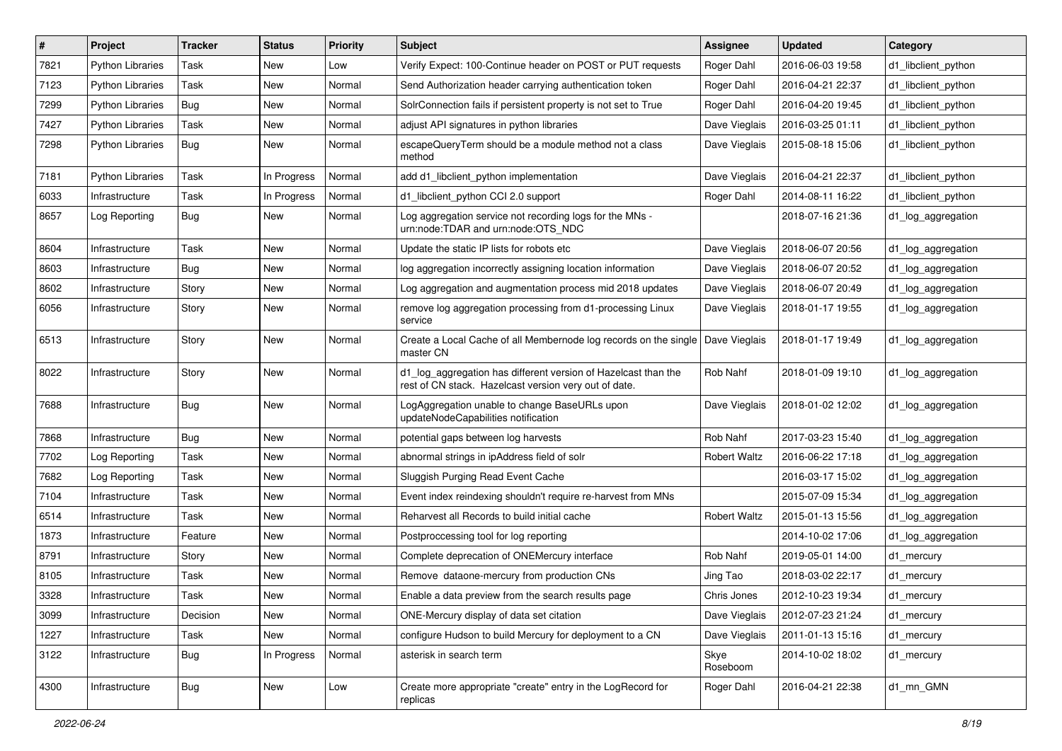| $\#$ | Project                 | <b>Tracker</b> | <b>Status</b> | <b>Priority</b> | <b>Subject</b>                                                                                                          | Assignee            | <b>Updated</b>   | Category            |
|------|-------------------------|----------------|---------------|-----------------|-------------------------------------------------------------------------------------------------------------------------|---------------------|------------------|---------------------|
| 7821 | <b>Python Libraries</b> | Task           | New           | Low             | Verify Expect: 100-Continue header on POST or PUT requests                                                              | Roger Dahl          | 2016-06-03 19:58 | d1_libclient_python |
| 7123 | <b>Python Libraries</b> | Task           | New           | Normal          | Send Authorization header carrying authentication token                                                                 | Roger Dahl          | 2016-04-21 22:37 | d1 libclient python |
| 7299 | <b>Python Libraries</b> | Bug            | New           | Normal          | SolrConnection fails if persistent property is not set to True                                                          | Roger Dahl          | 2016-04-20 19:45 | d1_libclient_python |
| 7427 | <b>Python Libraries</b> | Task           | New           | Normal          | adjust API signatures in python libraries                                                                               | Dave Vieglais       | 2016-03-25 01:11 | d1_libclient_python |
| 7298 | <b>Python Libraries</b> | Bug            | New           | Normal          | escapeQueryTerm should be a module method not a class<br>method                                                         | Dave Vieglais       | 2015-08-18 15:06 | d1_libclient_python |
| 7181 | <b>Python Libraries</b> | Task           | In Progress   | Normal          | add d1_libclient_python implementation                                                                                  | Dave Vieglais       | 2016-04-21 22:37 | d1_libclient_python |
| 6033 | Infrastructure          | Task           | In Progress   | Normal          | d1_libclient_python CCI 2.0 support                                                                                     | Roger Dahl          | 2014-08-11 16:22 | d1 libclient python |
| 8657 | Log Reporting           | <b>Bug</b>     | New           | Normal          | Log aggregation service not recording logs for the MNs -<br>urn:node:TDAR and urn:node:OTS_NDC                          |                     | 2018-07-16 21:36 | d1_log_aggregation  |
| 8604 | Infrastructure          | Task           | New           | Normal          | Update the static IP lists for robots etc                                                                               | Dave Vieglais       | 2018-06-07 20:56 | d1_log_aggregation  |
| 8603 | Infrastructure          | <b>Bug</b>     | New           | Normal          | log aggregation incorrectly assigning location information                                                              | Dave Vieglais       | 2018-06-07 20:52 | d1_log_aggregation  |
| 8602 | Infrastructure          | Story          | New           | Normal          | Log aggregation and augmentation process mid 2018 updates                                                               | Dave Vieglais       | 2018-06-07 20:49 | d1_log_aggregation  |
| 6056 | Infrastructure          | Story          | New           | Normal          | remove log aggregation processing from d1-processing Linux<br>service                                                   | Dave Vieglais       | 2018-01-17 19:55 | d1 log aggregation  |
| 6513 | Infrastructure          | Story          | New           | Normal          | Create a Local Cache of all Membernode log records on the single<br>master CN                                           | Dave Vieglais       | 2018-01-17 19:49 | d1_log_aggregation  |
| 8022 | Infrastructure          | Story          | New           | Normal          | d1_log_aggregation has different version of Hazelcast than the<br>rest of CN stack. Hazelcast version very out of date. | Rob Nahf            | 2018-01-09 19:10 | d1_log_aggregation  |
| 7688 | Infrastructure          | <b>Bug</b>     | New           | Normal          | LogAggregation unable to change BaseURLs upon<br>updateNodeCapabilities notification                                    | Dave Vieglais       | 2018-01-02 12:02 | d1_log_aggregation  |
| 7868 | Infrastructure          | Bug            | New           | Normal          | potential gaps between log harvests                                                                                     | Rob Nahf            | 2017-03-23 15:40 | d1_log_aggregation  |
| 7702 | Log Reporting           | Task           | New           | Normal          | abnormal strings in ipAddress field of solr                                                                             | <b>Robert Waltz</b> | 2016-06-22 17:18 | d1_log_aggregation  |
| 7682 | Log Reporting           | Task           | New           | Normal          | Sluggish Purging Read Event Cache                                                                                       |                     | 2016-03-17 15:02 | d1_log_aggregation  |
| 7104 | Infrastructure          | Task           | New           | Normal          | Event index reindexing shouldn't require re-harvest from MNs                                                            |                     | 2015-07-09 15:34 | d1_log_aggregation  |
| 6514 | Infrastructure          | Task           | New           | Normal          | Reharvest all Records to build initial cache                                                                            | <b>Robert Waltz</b> | 2015-01-13 15:56 | d1_log_aggregation  |
| 1873 | Infrastructure          | Feature        | New           | Normal          | Postproccessing tool for log reporting                                                                                  |                     | 2014-10-02 17:06 | d1_log_aggregation  |
| 8791 | Infrastructure          | Story          | New           | Normal          | Complete deprecation of ONEMercury interface                                                                            | Rob Nahf            | 2019-05-01 14:00 | d1 mercury          |
| 8105 | Infrastructure          | Task           | New           | Normal          | Remove dataone-mercury from production CNs                                                                              | Jing Tao            | 2018-03-02 22:17 | d1_mercury          |
| 3328 | Infrastructure          | Task           | New           | Normal          | Enable a data preview from the search results page                                                                      | Chris Jones         | 2012-10-23 19:34 | d1_mercury          |
| 3099 | Infrastructure          | Decision       | New           | Normal          | ONE-Mercury display of data set citation                                                                                | Dave Vieglais       | 2012-07-23 21:24 | d1_mercury          |
| 1227 | Infrastructure          | Task           | New           | Normal          | configure Hudson to build Mercury for deployment to a CN                                                                | Dave Vieglais       | 2011-01-13 15:16 | d1 mercury          |
| 3122 | Infrastructure          | <b>Bug</b>     | In Progress   | Normal          | asterisk in search term                                                                                                 | Skye<br>Roseboom    | 2014-10-02 18:02 | d1_mercury          |
| 4300 | Infrastructure          | <b>Bug</b>     | New           | Low             | Create more appropriate "create" entry in the LogRecord for<br>replicas                                                 | Roger Dahl          | 2016-04-21 22:38 | d1_mn_GMN           |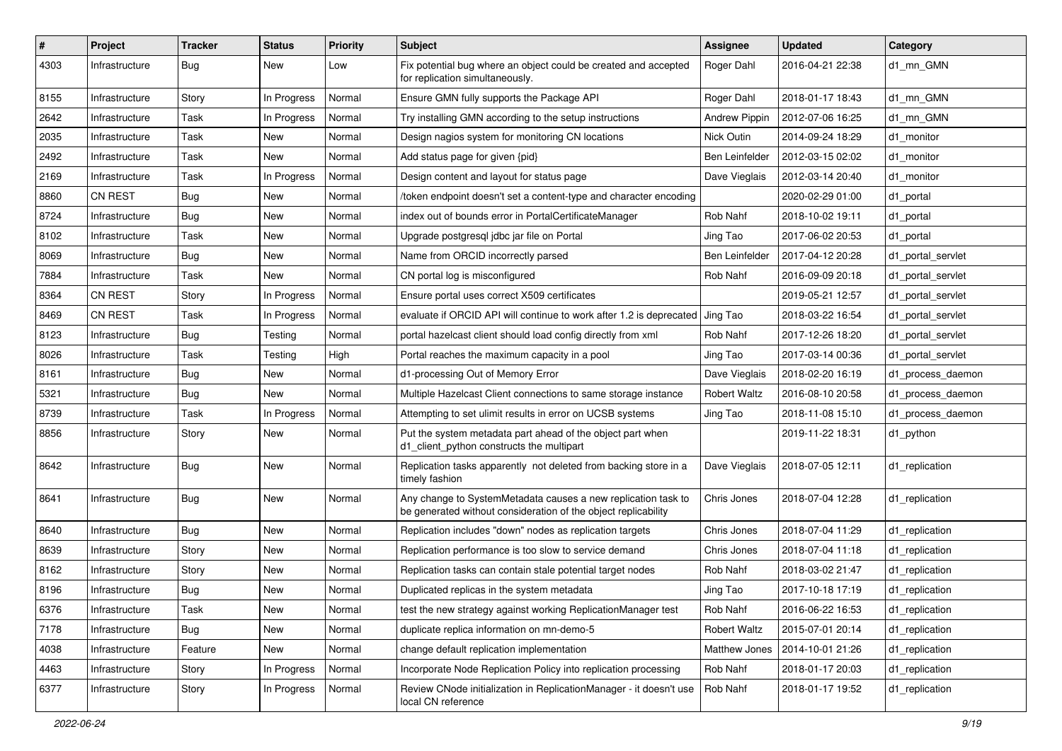| #    | Project        | <b>Tracker</b> | <b>Status</b> | <b>Priority</b> | Subject                                                                                                                         | Assignee             | <b>Updated</b>   | Category          |
|------|----------------|----------------|---------------|-----------------|---------------------------------------------------------------------------------------------------------------------------------|----------------------|------------------|-------------------|
| 4303 | Infrastructure | Bug            | New           | Low             | Fix potential bug where an object could be created and accepted<br>for replication simultaneously.                              | Roger Dahl           | 2016-04-21 22:38 | d1 mn GMN         |
| 8155 | Infrastructure | Story          | In Progress   | Normal          | Ensure GMN fully supports the Package API                                                                                       | Roger Dahl           | 2018-01-17 18:43 | d1 mn GMN         |
| 2642 | Infrastructure | Task           | In Progress   | Normal          | Try installing GMN according to the setup instructions                                                                          | Andrew Pippin        | 2012-07-06 16:25 | d1 mn GMN         |
| 2035 | Infrastructure | Task           | New           | Normal          | Design nagios system for monitoring CN locations                                                                                | Nick Outin           | 2014-09-24 18:29 | d1 monitor        |
| 2492 | Infrastructure | Task           | New           | Normal          | Add status page for given {pid}                                                                                                 | Ben Leinfelder       | 2012-03-15 02:02 | d1 monitor        |
| 2169 | Infrastructure | Task           | In Progress   | Normal          | Design content and layout for status page                                                                                       | Dave Vieglais        | 2012-03-14 20:40 | d1 monitor        |
| 8860 | <b>CN REST</b> | Bug            | New           | Normal          | /token endpoint doesn't set a content-type and character encoding                                                               |                      | 2020-02-29 01:00 | d1_portal         |
| 8724 | Infrastructure | Bug            | New           | Normal          | index out of bounds error in PortalCertificateManager                                                                           | Rob Nahf             | 2018-10-02 19:11 | d1_portal         |
| 8102 | Infrastructure | Task           | New           | Normal          | Upgrade postgresql jdbc jar file on Portal                                                                                      | Jing Tao             | 2017-06-02 20:53 | d1 portal         |
| 8069 | Infrastructure | <b>Bug</b>     | New           | Normal          | Name from ORCID incorrectly parsed                                                                                              | Ben Leinfelder       | 2017-04-12 20:28 | d1 portal servlet |
| 7884 | Infrastructure | Task           | New           | Normal          | CN portal log is misconfigured                                                                                                  | Rob Nahf             | 2016-09-09 20:18 | d1 portal servlet |
| 8364 | <b>CN REST</b> | Story          | In Progress   | Normal          | Ensure portal uses correct X509 certificates                                                                                    |                      | 2019-05-21 12:57 | d1 portal servlet |
| 8469 | <b>CN REST</b> | Task           | In Progress   | Normal          | evaluate if ORCID API will continue to work after 1.2 is deprecated                                                             | Jing Tao             | 2018-03-22 16:54 | d1_portal_servlet |
| 8123 | Infrastructure | <b>Bug</b>     | Testing       | Normal          | portal hazelcast client should load config directly from xml                                                                    | Rob Nahf             | 2017-12-26 18:20 | d1 portal servlet |
| 8026 | Infrastructure | Task           | Testing       | High            | Portal reaches the maximum capacity in a pool                                                                                   | Jing Tao             | 2017-03-14 00:36 | d1 portal servlet |
| 8161 | Infrastructure | Bug            | New           | Normal          | d1-processing Out of Memory Error                                                                                               | Dave Vieglais        | 2018-02-20 16:19 | d1 process daemon |
| 5321 | Infrastructure | <b>Bug</b>     | New           | Normal          | Multiple Hazelcast Client connections to same storage instance                                                                  | <b>Robert Waltz</b>  | 2016-08-10 20:58 | d1 process daemon |
| 8739 | Infrastructure | Task           | In Progress   | Normal          | Attempting to set ulimit results in error on UCSB systems                                                                       | Jing Tao             | 2018-11-08 15:10 | d1_process_daemon |
| 8856 | Infrastructure | Story          | New           | Normal          | Put the system metadata part ahead of the object part when<br>d1_client_python constructs the multipart                         |                      | 2019-11-22 18:31 | d1_python         |
| 8642 | Infrastructure | Bug            | New           | Normal          | Replication tasks apparently not deleted from backing store in a<br>timely fashion                                              | Dave Vieglais        | 2018-07-05 12:11 | d1 replication    |
| 8641 | Infrastructure | Bug            | New           | Normal          | Any change to SystemMetadata causes a new replication task to<br>be generated without consideration of the object replicability | Chris Jones          | 2018-07-04 12:28 | d1_replication    |
| 8640 | Infrastructure | <b>Bug</b>     | New           | Normal          | Replication includes "down" nodes as replication targets                                                                        | Chris Jones          | 2018-07-04 11:29 | d1_replication    |
| 8639 | Infrastructure | Story          | New           | Normal          | Replication performance is too slow to service demand                                                                           | Chris Jones          | 2018-07-04 11:18 | d1 replication    |
| 8162 | Infrastructure | Story          | New           | Normal          | Replication tasks can contain stale potential target nodes                                                                      | Rob Nahf             | 2018-03-02 21:47 | d1 replication    |
| 8196 | Infrastructure | Bug            | New           | Normal          | Duplicated replicas in the system metadata                                                                                      | Jing Tao             | 2017-10-18 17:19 | d1 replication    |
| 6376 | Infrastructure | Task           | New           | Normal          | test the new strategy against working ReplicationManager test                                                                   | Rob Nahf             | 2016-06-22 16:53 | d1_replication    |
| 7178 | Infrastructure | <b>Bug</b>     | New           | Normal          | duplicate replica information on mn-demo-5                                                                                      | <b>Robert Waltz</b>  | 2015-07-01 20:14 | d1_replication    |
| 4038 | Infrastructure | Feature        | New           | Normal          | change default replication implementation                                                                                       | <b>Matthew Jones</b> | 2014-10-01 21:26 | d1_replication    |
| 4463 | Infrastructure | Story          | In Progress   | Normal          | Incorporate Node Replication Policy into replication processing                                                                 | Rob Nahf             | 2018-01-17 20:03 | d1_replication    |
| 6377 | Infrastructure | Story          | In Progress   | Normal          | Review CNode initialization in ReplicationManager - it doesn't use<br>local CN reference                                        | Rob Nahf             | 2018-01-17 19:52 | d1_replication    |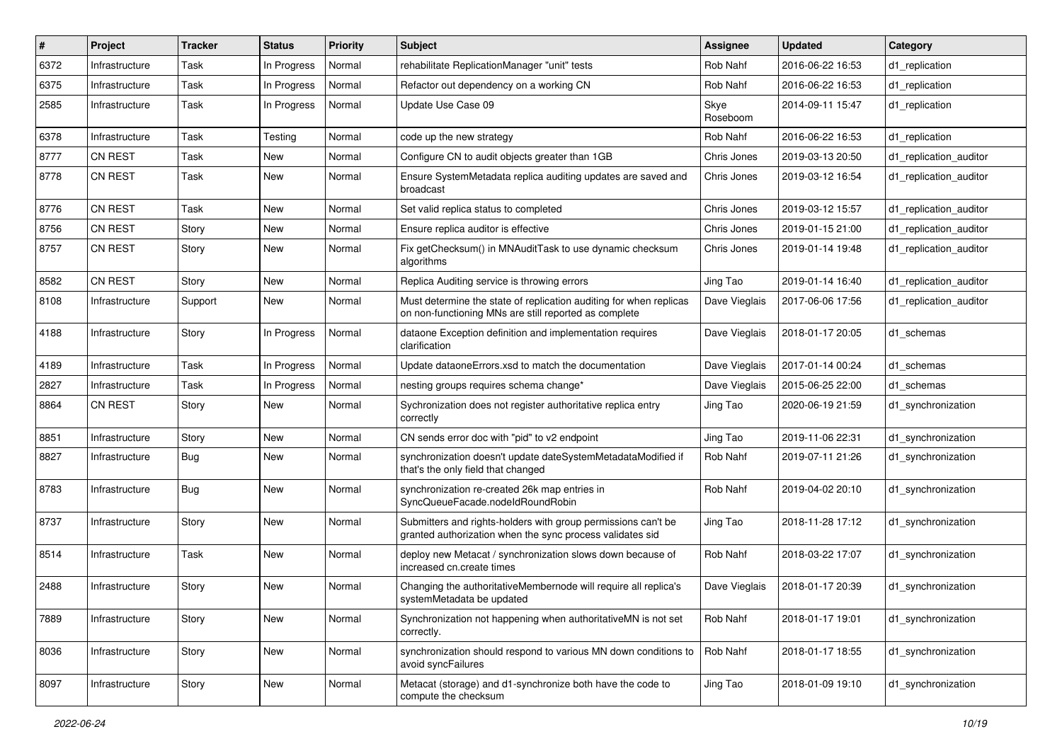| $\vert$ # | Project        | <b>Tracker</b> | <b>Status</b> | <b>Priority</b> | Subject                                                                                                                     | <b>Assignee</b>  | <b>Updated</b>   | Category               |
|-----------|----------------|----------------|---------------|-----------------|-----------------------------------------------------------------------------------------------------------------------------|------------------|------------------|------------------------|
| 6372      | Infrastructure | Task           | In Progress   | Normal          | rehabilitate ReplicationManager "unit" tests                                                                                | Rob Nahf         | 2016-06-22 16:53 | d1 replication         |
| 6375      | Infrastructure | Task           | In Progress   | Normal          | Refactor out dependency on a working CN                                                                                     | Rob Nahf         | 2016-06-22 16:53 | d1 replication         |
| 2585      | Infrastructure | Task           | In Progress   | Normal          | Update Use Case 09                                                                                                          | Skye<br>Roseboom | 2014-09-11 15:47 | d1 replication         |
| 6378      | Infrastructure | Task           | Testing       | Normal          | code up the new strategy                                                                                                    | Rob Nahf         | 2016-06-22 16:53 | d1_replication         |
| 8777      | <b>CN REST</b> | Task           | New           | Normal          | Configure CN to audit objects greater than 1GB                                                                              | Chris Jones      | 2019-03-13 20:50 | d1 replication auditor |
| 8778      | <b>CN REST</b> | Task           | New           | Normal          | Ensure SystemMetadata replica auditing updates are saved and<br>broadcast                                                   | Chris Jones      | 2019-03-12 16:54 | d1 replication auditor |
| 8776      | CN REST        | Task           | New           | Normal          | Set valid replica status to completed                                                                                       | Chris Jones      | 2019-03-12 15:57 | d1_replication_auditor |
| 8756      | CN REST        | Story          | New           | Normal          | Ensure replica auditor is effective                                                                                         | Chris Jones      | 2019-01-15 21:00 | d1 replication auditor |
| 8757      | <b>CN REST</b> | Story          | New           | Normal          | Fix getChecksum() in MNAuditTask to use dynamic checksum<br>algorithms                                                      | Chris Jones      | 2019-01-14 19:48 | d1 replication auditor |
| 8582      | CN REST        | Story          | New           | Normal          | Replica Auditing service is throwing errors                                                                                 | Jing Tao         | 2019-01-14 16:40 | d1_replication_auditor |
| 8108      | Infrastructure | Support        | New           | Normal          | Must determine the state of replication auditing for when replicas<br>on non-functioning MNs are still reported as complete | Dave Vieglais    | 2017-06-06 17:56 | d1 replication auditor |
| 4188      | Infrastructure | Story          | In Progress   | Normal          | dataone Exception definition and implementation requires<br>clarification                                                   | Dave Vieglais    | 2018-01-17 20:05 | d1_schemas             |
| 4189      | Infrastructure | Task           | In Progress   | Normal          | Update dataoneErrors.xsd to match the documentation                                                                         | Dave Vieglais    | 2017-01-14 00:24 | d1 schemas             |
| 2827      | Infrastructure | Task           | In Progress   | Normal          | nesting groups requires schema change*                                                                                      | Dave Vieglais    | 2015-06-25 22:00 | d1 schemas             |
| 8864      | <b>CN REST</b> | Story          | New           | Normal          | Sychronization does not register authoritative replica entry<br>correctly                                                   | Jing Tao         | 2020-06-19 21:59 | d1_synchronization     |
| 8851      | Infrastructure | Story          | New           | Normal          | CN sends error doc with "pid" to v2 endpoint                                                                                | Jing Tao         | 2019-11-06 22:31 | d1 synchronization     |
| 8827      | Infrastructure | <b>Bug</b>     | New           | Normal          | synchronization doesn't update dateSystemMetadataModified if<br>that's the only field that changed                          | Rob Nahf         | 2019-07-11 21:26 | d1 synchronization     |
| 8783      | Infrastructure | <b>Bug</b>     | New           | Normal          | synchronization re-created 26k map entries in<br>SyncQueueFacade.nodeIdRoundRobin                                           | Rob Nahf         | 2019-04-02 20:10 | d1_synchronization     |
| 8737      | Infrastructure | Story          | New           | Normal          | Submitters and rights-holders with group permissions can't be<br>granted authorization when the sync process validates sid  | Jing Tao         | 2018-11-28 17:12 | d1 synchronization     |
| 8514      | Infrastructure | Task           | New           | Normal          | deploy new Metacat / synchronization slows down because of<br>increased cn.create times                                     | Rob Nahf         | 2018-03-22 17:07 | d1 synchronization     |
| 2488      | Infrastructure | Story          | New           | Normal          | Changing the authoritativeMembernode will require all replica's<br>systemMetadata be updated                                | Dave Vieglais    | 2018-01-17 20:39 | d1_synchronization     |
| 7889      | Infrastructure | Story          | New           | Normal          | Synchronization not happening when authoritativeMN is not set<br>correctly.                                                 | Rob Nahf         | 2018-01-17 19:01 | d1 synchronization     |
| 8036      | Infrastructure | Story          | New           | Normal          | synchronization should respond to various MN down conditions to<br>avoid syncFailures                                       | Rob Nahf         | 2018-01-17 18:55 | d1_synchronization     |
| 8097      | Infrastructure | Story          | New           | Normal          | Metacat (storage) and d1-synchronize both have the code to<br>compute the checksum                                          | Jing Tao         | 2018-01-09 19:10 | d1_synchronization     |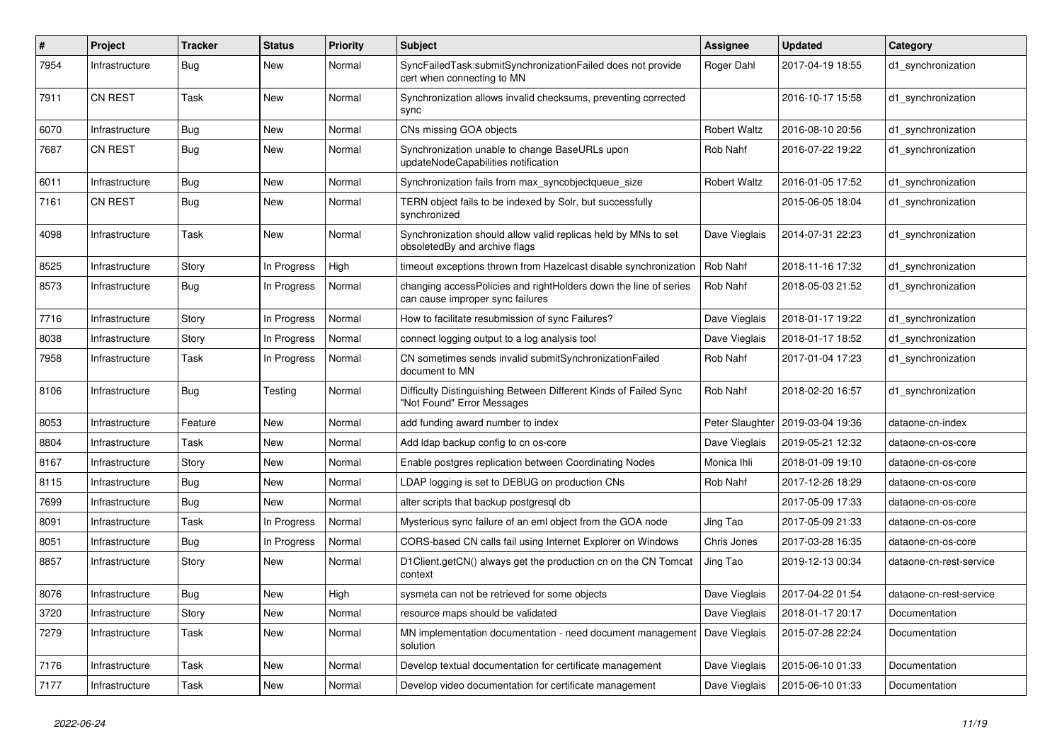| #    | Project        | <b>Tracker</b> | <b>Status</b> | <b>Priority</b> | <b>Subject</b>                                                                                       | Assignee            | <b>Updated</b>                     | Category                |
|------|----------------|----------------|---------------|-----------------|------------------------------------------------------------------------------------------------------|---------------------|------------------------------------|-------------------------|
| 7954 | Infrastructure | Bug            | New           | Normal          | SyncFailedTask:submitSynchronizationFailed does not provide<br>cert when connecting to MN            | Roger Dahl          | 2017-04-19 18:55                   | d1 synchronization      |
| 7911 | <b>CN REST</b> | Task           | New           | Normal          | Synchronization allows invalid checksums, preventing corrected<br>sync                               |                     | 2016-10-17 15:58                   | d1 synchronization      |
| 6070 | Infrastructure | <b>Bug</b>     | New           | Normal          | CNs missing GOA objects                                                                              | <b>Robert Waltz</b> | 2016-08-10 20:56                   | d1_synchronization      |
| 7687 | CN REST        | <b>Bug</b>     | New           | Normal          | Synchronization unable to change BaseURLs upon<br>updateNodeCapabilities notification                | Rob Nahf            | 2016-07-22 19:22                   | d1_synchronization      |
| 6011 | Infrastructure | Bug            | New           | Normal          | Synchronization fails from max syncobjectqueue size                                                  | <b>Robert Waltz</b> | 2016-01-05 17:52                   | d1 synchronization      |
| 7161 | CN REST        | Bug            | New           | Normal          | TERN object fails to be indexed by Solr, but successfully<br>synchronized                            |                     | 2015-06-05 18:04                   | d1 synchronization      |
| 4098 | Infrastructure | Task           | New           | Normal          | Synchronization should allow valid replicas held by MNs to set<br>obsoletedBy and archive flags      | Dave Vieglais       | 2014-07-31 22:23                   | d1 synchronization      |
| 8525 | Infrastructure | Story          | In Progress   | High            | timeout exceptions thrown from Hazelcast disable synchronization                                     | Rob Nahf            | 2018-11-16 17:32                   | d1_synchronization      |
| 8573 | Infrastructure | <b>Bug</b>     | In Progress   | Normal          | changing accessPolicies and rightHolders down the line of series<br>can cause improper sync failures | Rob Nahf            | 2018-05-03 21:52                   | d1 synchronization      |
| 7716 | Infrastructure | Story          | In Progress   | Normal          | How to facilitate resubmission of sync Failures?                                                     | Dave Vieglais       | 2018-01-17 19:22                   | d1 synchronization      |
| 8038 | Infrastructure | Story          | In Progress   | Normal          | connect logging output to a log analysis tool                                                        | Dave Vieglais       | 2018-01-17 18:52                   | d1 synchronization      |
| 7958 | Infrastructure | Task           | In Progress   | Normal          | CN sometimes sends invalid submitSynchronizationFailed<br>document to MN                             | Rob Nahf            | 2017-01-04 17:23                   | d1 synchronization      |
| 8106 | Infrastructure | <b>Bug</b>     | Testing       | Normal          | Difficulty Distinguishing Between Different Kinds of Failed Sync<br>"Not Found" Error Messages       | Rob Nahf            | 2018-02-20 16:57                   | d1_synchronization      |
| 8053 | Infrastructure | Feature        | New           | Normal          | add funding award number to index                                                                    |                     | Peter Slaughter   2019-03-04 19:36 | dataone-cn-index        |
| 8804 | Infrastructure | Task           | New           | Normal          | Add Idap backup config to cn os-core                                                                 | Dave Vieglais       | 2019-05-21 12:32                   | dataone-cn-os-core      |
| 8167 | Infrastructure | Story          | New           | Normal          | Enable postgres replication between Coordinating Nodes                                               | Monica Ihli         | 2018-01-09 19:10                   | dataone-cn-os-core      |
| 8115 | Infrastructure | Bug            | New           | Normal          | LDAP logging is set to DEBUG on production CNs                                                       | Rob Nahf            | 2017-12-26 18:29                   | dataone-cn-os-core      |
| 7699 | Infrastructure | Bug            | New           | Normal          | alter scripts that backup postgresgl db                                                              |                     | 2017-05-09 17:33                   | dataone-cn-os-core      |
| 8091 | Infrastructure | Task           | In Progress   | Normal          | Mysterious sync failure of an eml object from the GOA node                                           | Jing Tao            | 2017-05-09 21:33                   | dataone-cn-os-core      |
| 8051 | Infrastructure | <b>Bug</b>     | In Progress   | Normal          | CORS-based CN calls fail using Internet Explorer on Windows                                          | Chris Jones         | 2017-03-28 16:35                   | dataone-cn-os-core      |
| 8857 | Infrastructure | Story          | New           | Normal          | D1Client.getCN() always get the production cn on the CN Tomcat<br>context                            | Jing Tao            | 2019-12-13 00:34                   | dataone-cn-rest-service |
| 8076 | Infrastructure | <b>Bug</b>     | New           | High            | sysmeta can not be retrieved for some objects                                                        | Dave Vieglais       | 2017-04-22 01:54                   | dataone-cn-rest-service |
| 3720 | Infrastructure | Story          | <b>New</b>    | Normal          | resource maps should be validated                                                                    | Dave Vieglais       | 2018-01-17 20:17                   | Documentation           |
| 7279 | Infrastructure | Task           | New           | Normal          | MN implementation documentation - need document management<br>solution                               | Dave Vieglais       | 2015-07-28 22:24                   | Documentation           |
| 7176 | Infrastructure | Task           | <b>New</b>    | Normal          | Develop textual documentation for certificate management                                             | Dave Vieglais       | 2015-06-10 01:33                   | Documentation           |
| 7177 | Infrastructure | Task           | New           | Normal          | Develop video documentation for certificate management                                               | Dave Vieglais       | 2015-06-10 01:33                   | Documentation           |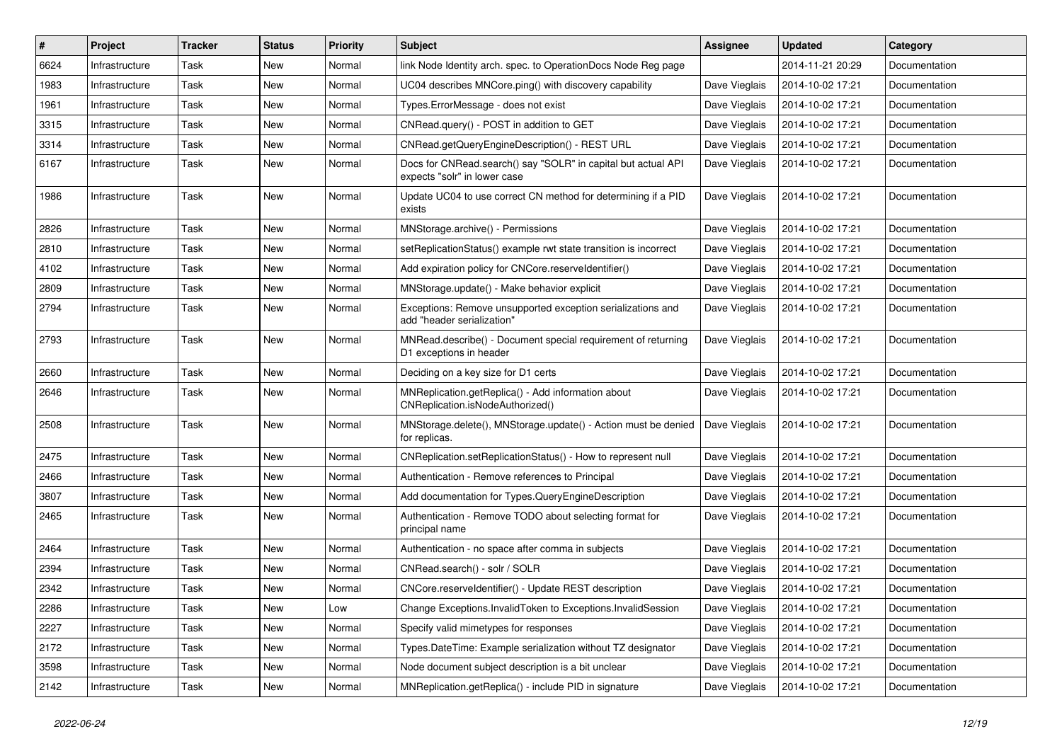| $\#$ | Project        | <b>Tracker</b> | <b>Status</b> | <b>Priority</b> | <b>Subject</b>                                                                                | <b>Assignee</b> | <b>Updated</b>   | Category      |
|------|----------------|----------------|---------------|-----------------|-----------------------------------------------------------------------------------------------|-----------------|------------------|---------------|
| 6624 | Infrastructure | Task           | New           | Normal          | link Node Identity arch. spec. to OperationDocs Node Reg page                                 |                 | 2014-11-21 20:29 | Documentation |
| 1983 | Infrastructure | Task           | New           | Normal          | UC04 describes MNCore.ping() with discovery capability                                        | Dave Vieglais   | 2014-10-02 17:21 | Documentation |
| 1961 | Infrastructure | Task           | New           | Normal          | Types.ErrorMessage - does not exist                                                           | Dave Vieglais   | 2014-10-02 17:21 | Documentation |
| 3315 | Infrastructure | Task           | New           | Normal          | CNRead.query() - POST in addition to GET                                                      | Dave Vieglais   | 2014-10-02 17:21 | Documentation |
| 3314 | Infrastructure | Task           | New           | Normal          | CNRead.getQueryEngineDescription() - REST URL                                                 | Dave Vieglais   | 2014-10-02 17:21 | Documentation |
| 6167 | Infrastructure | Task           | New           | Normal          | Docs for CNRead.search() say "SOLR" in capital but actual API<br>expects "solr" in lower case | Dave Vieglais   | 2014-10-02 17:21 | Documentation |
| 1986 | Infrastructure | Task           | New           | Normal          | Update UC04 to use correct CN method for determining if a PID<br>exists                       | Dave Vieglais   | 2014-10-02 17:21 | Documentation |
| 2826 | Infrastructure | Task           | New           | Normal          | MNStorage.archive() - Permissions                                                             | Dave Vieglais   | 2014-10-02 17:21 | Documentation |
| 2810 | Infrastructure | Task           | New           | Normal          | setReplicationStatus() example rwt state transition is incorrect                              | Dave Vieglais   | 2014-10-02 17:21 | Documentation |
| 4102 | Infrastructure | Task           | New           | Normal          | Add expiration policy for CNCore.reserveldentifier()                                          | Dave Vieglais   | 2014-10-02 17:21 | Documentation |
| 2809 | Infrastructure | Task           | New           | Normal          | MNStorage.update() - Make behavior explicit                                                   | Dave Vieglais   | 2014-10-02 17:21 | Documentation |
| 2794 | Infrastructure | Task           | New           | Normal          | Exceptions: Remove unsupported exception serializations and<br>add "header serialization"     | Dave Vieglais   | 2014-10-02 17:21 | Documentation |
| 2793 | Infrastructure | Task           | New           | Normal          | MNRead.describe() - Document special requirement of returning<br>D1 exceptions in header      | Dave Vieglais   | 2014-10-02 17:21 | Documentation |
| 2660 | Infrastructure | Task           | New           | Normal          | Deciding on a key size for D1 certs                                                           | Dave Vieglais   | 2014-10-02 17:21 | Documentation |
| 2646 | Infrastructure | Task           | New           | Normal          | MNReplication.getReplica() - Add information about<br>CNReplication.isNodeAuthorized()        | Dave Vieglais   | 2014-10-02 17:21 | Documentation |
| 2508 | Infrastructure | Task           | New           | Normal          | MNStorage.delete(), MNStorage.update() - Action must be denied<br>for replicas.               | Dave Vieglais   | 2014-10-02 17:21 | Documentation |
| 2475 | Infrastructure | Task           | New           | Normal          | CNReplication.setReplicationStatus() - How to represent null                                  | Dave Vieglais   | 2014-10-02 17:21 | Documentation |
| 2466 | Infrastructure | Task           | New           | Normal          | Authentication - Remove references to Principal                                               | Dave Vieglais   | 2014-10-02 17:21 | Documentation |
| 3807 | Infrastructure | Task           | New           | Normal          | Add documentation for Types.QueryEngineDescription                                            | Dave Vieglais   | 2014-10-02 17:21 | Documentation |
| 2465 | Infrastructure | Task           | New           | Normal          | Authentication - Remove TODO about selecting format for<br>principal name                     | Dave Vieglais   | 2014-10-02 17:21 | Documentation |
| 2464 | Infrastructure | Task           | New           | Normal          | Authentication - no space after comma in subjects                                             | Dave Vieglais   | 2014-10-02 17:21 | Documentation |
| 2394 | Infrastructure | Task           | New           | Normal          | CNRead.search() - solr / SOLR                                                                 | Dave Vieglais   | 2014-10-02 17:21 | Documentation |
| 2342 | Infrastructure | Task           | New           | Normal          | CNCore.reserveldentifier() - Update REST description                                          | Dave Vieglais   | 2014-10-02 17:21 | Documentation |
| 2286 | Infrastructure | Task           | New           | Low             | Change Exceptions.InvalidToken to Exceptions.InvalidSession                                   | Dave Vieglais   | 2014-10-02 17:21 | Documentation |
| 2227 | Infrastructure | Task           | New           | Normal          | Specify valid mimetypes for responses                                                         | Dave Vieglais   | 2014-10-02 17:21 | Documentation |
| 2172 | Infrastructure | Task           | New           | Normal          | Types.DateTime: Example serialization without TZ designator                                   | Dave Vieglais   | 2014-10-02 17:21 | Documentation |
| 3598 | Infrastructure | Task           | New           | Normal          | Node document subject description is a bit unclear                                            | Dave Vieglais   | 2014-10-02 17:21 | Documentation |
| 2142 | Infrastructure | Task           | New           | Normal          | MNReplication.getReplica() - include PID in signature                                         | Dave Vieglais   | 2014-10-02 17:21 | Documentation |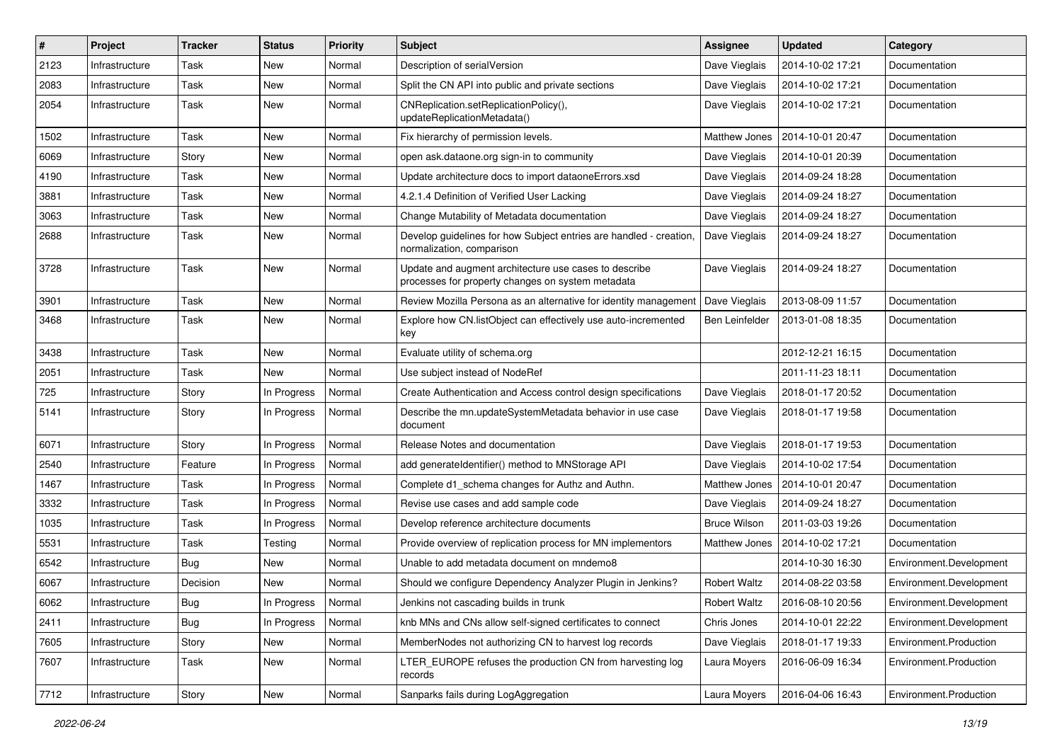| #    | Project        | <b>Tracker</b> | <b>Status</b> | <b>Priority</b> | Subject                                                                                                    | <b>Assignee</b>       | <b>Updated</b>   | Category                |
|------|----------------|----------------|---------------|-----------------|------------------------------------------------------------------------------------------------------------|-----------------------|------------------|-------------------------|
| 2123 | Infrastructure | Task           | New           | Normal          | Description of serialVersion                                                                               | Dave Vieglais         | 2014-10-02 17:21 | Documentation           |
| 2083 | Infrastructure | Task           | New           | Normal          | Split the CN API into public and private sections                                                          | Dave Vieglais         | 2014-10-02 17:21 | Documentation           |
| 2054 | Infrastructure | Task           | New           | Normal          | CNReplication.setReplicationPolicy(),<br>updateReplicationMetadata()                                       | Dave Vieglais         | 2014-10-02 17:21 | Documentation           |
| 1502 | Infrastructure | Task           | New           | Normal          | Fix hierarchy of permission levels.                                                                        | Matthew Jones         | 2014-10-01 20:47 | Documentation           |
| 6069 | Infrastructure | Story          | New           | Normal          | open ask.dataone.org sign-in to community                                                                  | Dave Vieglais         | 2014-10-01 20:39 | Documentation           |
| 4190 | Infrastructure | Task           | New           | Normal          | Update architecture docs to import dataoneErrors.xsd                                                       | Dave Vieglais         | 2014-09-24 18:28 | Documentation           |
| 3881 | Infrastructure | Task           | New           | Normal          | 4.2.1.4 Definition of Verified User Lacking                                                                | Dave Vieglais         | 2014-09-24 18:27 | Documentation           |
| 3063 | Infrastructure | Task           | New           | Normal          | Change Mutability of Metadata documentation                                                                | Dave Vieglais         | 2014-09-24 18:27 | Documentation           |
| 2688 | Infrastructure | Task           | New           | Normal          | Develop guidelines for how Subject entries are handled - creation,<br>normalization, comparison            | Dave Vieglais         | 2014-09-24 18:27 | Documentation           |
| 3728 | Infrastructure | Task           | New           | Normal          | Update and augment architecture use cases to describe<br>processes for property changes on system metadata | Dave Vieglais         | 2014-09-24 18:27 | Documentation           |
| 3901 | Infrastructure | Task           | New           | Normal          | Review Mozilla Persona as an alternative for identity management                                           | Dave Vieglais         | 2013-08-09 11:57 | Documentation           |
| 3468 | Infrastructure | Task           | New           | Normal          | Explore how CN.listObject can effectively use auto-incremented<br>key                                      | <b>Ben Leinfelder</b> | 2013-01-08 18:35 | Documentation           |
| 3438 | Infrastructure | Task           | New           | Normal          | Evaluate utility of schema.org                                                                             |                       | 2012-12-21 16:15 | Documentation           |
| 2051 | Infrastructure | Task           | New           | Normal          | Use subject instead of NodeRef                                                                             |                       | 2011-11-23 18:11 | Documentation           |
| 725  | Infrastructure | Story          | In Progress   | Normal          | Create Authentication and Access control design specifications                                             | Dave Vieglais         | 2018-01-17 20:52 | Documentation           |
| 5141 | Infrastructure | Story          | In Progress   | Normal          | Describe the mn.updateSystemMetadata behavior in use case<br>document                                      | Dave Vieglais         | 2018-01-17 19:58 | Documentation           |
| 6071 | Infrastructure | Story          | In Progress   | Normal          | Release Notes and documentation                                                                            | Dave Vieglais         | 2018-01-17 19:53 | Documentation           |
| 2540 | Infrastructure | Feature        | In Progress   | Normal          | add generateldentifier() method to MNStorage API                                                           | Dave Vieglais         | 2014-10-02 17:54 | Documentation           |
| 1467 | Infrastructure | Task           | In Progress   | Normal          | Complete d1 schema changes for Authz and Authn.                                                            | Matthew Jones         | 2014-10-01 20:47 | Documentation           |
| 3332 | Infrastructure | Task           | In Progress   | Normal          | Revise use cases and add sample code                                                                       | Dave Vieglais         | 2014-09-24 18:27 | Documentation           |
| 1035 | Infrastructure | Task           | In Progress   | Normal          | Develop reference architecture documents                                                                   | <b>Bruce Wilson</b>   | 2011-03-03 19:26 | Documentation           |
| 5531 | Infrastructure | Task           | Testing       | Normal          | Provide overview of replication process for MN implementors                                                | Matthew Jones         | 2014-10-02 17:21 | Documentation           |
| 6542 | Infrastructure | <b>Bug</b>     | New           | Normal          | Unable to add metadata document on mndemo8                                                                 |                       | 2014-10-30 16:30 | Environment.Development |
| 6067 | Infrastructure | Decision       | New           | Normal          | Should we configure Dependency Analyzer Plugin in Jenkins?                                                 | <b>Robert Waltz</b>   | 2014-08-22 03:58 | Environment.Development |
| 6062 | Infrastructure | Bug            | In Progress   | Normal          | Jenkins not cascading builds in trunk                                                                      | Robert Waltz          | 2016-08-10 20:56 | Environment.Development |
| 2411 | Infrastructure | Bug            | In Progress   | Normal          | knb MNs and CNs allow self-signed certificates to connect                                                  | Chris Jones           | 2014-10-01 22:22 | Environment.Development |
| 7605 | Infrastructure | Story          | New           | Normal          | MemberNodes not authorizing CN to harvest log records                                                      | Dave Vieglais         | 2018-01-17 19:33 | Environment.Production  |
| 7607 | Infrastructure | Task           | New           | Normal          | LTER_EUROPE refuses the production CN from harvesting log<br>records                                       | Laura Moyers          | 2016-06-09 16:34 | Environment.Production  |
| 7712 | Infrastructure | Story          | New           | Normal          | Sanparks fails during LogAggregation                                                                       | Laura Moyers          | 2016-04-06 16:43 | Environment.Production  |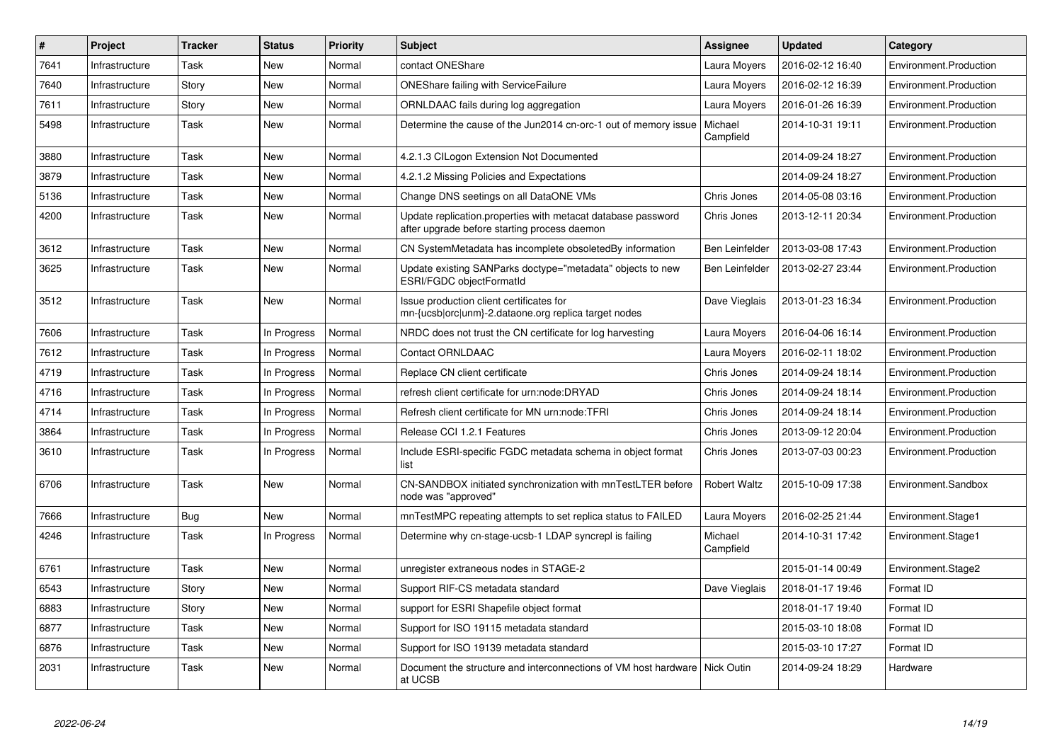| $\#$ | Project        | <b>Tracker</b> | <b>Status</b> | <b>Priority</b> | <b>Subject</b>                                                                                               | Assignee              | <b>Updated</b>   | Category               |
|------|----------------|----------------|---------------|-----------------|--------------------------------------------------------------------------------------------------------------|-----------------------|------------------|------------------------|
| 7641 | Infrastructure | Task           | New           | Normal          | contact ONEShare                                                                                             | Laura Moyers          | 2016-02-12 16:40 | Environment.Production |
| 7640 | Infrastructure | Story          | New           | Normal          | <b>ONEShare failing with ServiceFailure</b>                                                                  | Laura Moyers          | 2016-02-12 16:39 | Environment.Production |
| 7611 | Infrastructure | Story          | New           | Normal          | ORNLDAAC fails during log aggregation                                                                        | Laura Moyers          | 2016-01-26 16:39 | Environment.Production |
| 5498 | Infrastructure | Task           | New           | Normal          | Determine the cause of the Jun2014 cn-orc-1 out of memory issue                                              | Michael<br>Campfield  | 2014-10-31 19:11 | Environment.Production |
| 3880 | Infrastructure | Task           | New           | Normal          | 4.2.1.3 CILogon Extension Not Documented                                                                     |                       | 2014-09-24 18:27 | Environment.Production |
| 3879 | Infrastructure | Task           | New           | Normal          | 4.2.1.2 Missing Policies and Expectations                                                                    |                       | 2014-09-24 18:27 | Environment.Production |
| 5136 | Infrastructure | Task           | New           | Normal          | Change DNS seetings on all DataONE VMs                                                                       | Chris Jones           | 2014-05-08 03:16 | Environment.Production |
| 4200 | Infrastructure | Task           | New           | Normal          | Update replication.properties with metacat database password<br>after upgrade before starting process daemon | Chris Jones           | 2013-12-11 20:34 | Environment.Production |
| 3612 | Infrastructure | Task           | New           | Normal          | CN SystemMetadata has incomplete obsoletedBy information                                                     | <b>Ben Leinfelder</b> | 2013-03-08 17:43 | Environment.Production |
| 3625 | Infrastructure | Task           | New           | Normal          | Update existing SANParks doctype="metadata" objects to new<br>ESRI/FGDC objectFormatId                       | Ben Leinfelder        | 2013-02-27 23:44 | Environment.Production |
| 3512 | Infrastructure | Task           | New           | Normal          | Issue production client certificates for<br>mn-{ucsb orc unm}-2.dataone.org replica target nodes             | Dave Vieglais         | 2013-01-23 16:34 | Environment.Production |
| 7606 | Infrastructure | Task           | In Progress   | Normal          | NRDC does not trust the CN certificate for log harvesting                                                    | Laura Moyers          | 2016-04-06 16:14 | Environment.Production |
| 7612 | Infrastructure | Task           | In Progress   | Normal          | <b>Contact ORNLDAAC</b>                                                                                      | Laura Moyers          | 2016-02-11 18:02 | Environment.Production |
| 4719 | Infrastructure | Task           | In Progress   | Normal          | Replace CN client certificate                                                                                | Chris Jones           | 2014-09-24 18:14 | Environment.Production |
| 4716 | Infrastructure | Task           | In Progress   | Normal          | refresh client certificate for urn:node:DRYAD                                                                | Chris Jones           | 2014-09-24 18:14 | Environment.Production |
| 4714 | Infrastructure | Task           | In Progress   | Normal          | Refresh client certificate for MN urn:node:TFRI                                                              | Chris Jones           | 2014-09-24 18:14 | Environment.Production |
| 3864 | Infrastructure | Task           | In Progress   | Normal          | Release CCI 1.2.1 Features                                                                                   | Chris Jones           | 2013-09-12 20:04 | Environment.Production |
| 3610 | Infrastructure | Task           | In Progress   | Normal          | Include ESRI-specific FGDC metadata schema in object format<br>list                                          | Chris Jones           | 2013-07-03 00:23 | Environment.Production |
| 6706 | Infrastructure | Task           | <b>New</b>    | Normal          | CN-SANDBOX initiated synchronization with mnTestLTER before<br>node was "approved"                           | <b>Robert Waltz</b>   | 2015-10-09 17:38 | Environment.Sandbox    |
| 7666 | Infrastructure | <b>Bug</b>     | New           | Normal          | mnTestMPC repeating attempts to set replica status to FAILED                                                 | Laura Moyers          | 2016-02-25 21:44 | Environment.Stage1     |
| 4246 | Infrastructure | Task           | In Progress   | Normal          | Determine why cn-stage-ucsb-1 LDAP syncrepl is failing                                                       | Michael<br>Campfield  | 2014-10-31 17:42 | Environment.Stage1     |
| 6761 | Infrastructure | Task           | New           | Normal          | unregister extraneous nodes in STAGE-2                                                                       |                       | 2015-01-14 00:49 | Environment.Stage2     |
| 6543 | Infrastructure | Story          | New           | Normal          | Support RIF-CS metadata standard                                                                             | Dave Vieglais         | 2018-01-17 19:46 | Format ID              |
| 6883 | Infrastructure | Story          | New           | Normal          | support for ESRI Shapefile object format                                                                     |                       | 2018-01-17 19:40 | Format ID              |
| 6877 | Infrastructure | Task           | New           | Normal          | Support for ISO 19115 metadata standard                                                                      |                       | 2015-03-10 18:08 | Format ID              |
| 6876 | Infrastructure | Task           | New           | Normal          | Support for ISO 19139 metadata standard                                                                      |                       | 2015-03-10 17:27 | Format ID              |
| 2031 | Infrastructure | Task           | New           | Normal          | Document the structure and interconnections of VM host hardware<br>at UCSB                                   | Nick Outin            | 2014-09-24 18:29 | Hardware               |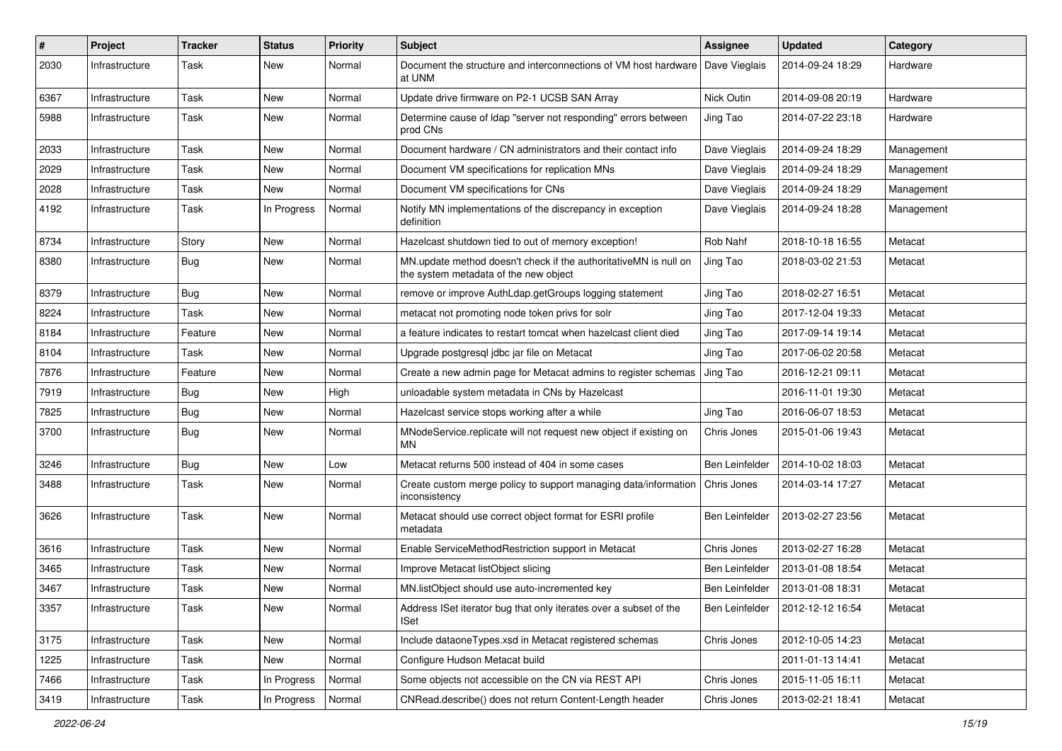| $\#$ | Project        | <b>Tracker</b> | <b>Status</b> | <b>Priority</b> | <b>Subject</b>                                                                                            | <b>Assignee</b> | <b>Updated</b>   | Category   |
|------|----------------|----------------|---------------|-----------------|-----------------------------------------------------------------------------------------------------------|-----------------|------------------|------------|
| 2030 | Infrastructure | Task           | New           | Normal          | Document the structure and interconnections of VM host hardware<br>at UNM                                 | Dave Vieglais   | 2014-09-24 18:29 | Hardware   |
| 6367 | Infrastructure | Task           | New           | Normal          | Update drive firmware on P2-1 UCSB SAN Array                                                              | Nick Outin      | 2014-09-08 20:19 | Hardware   |
| 5988 | Infrastructure | Task           | New           | Normal          | Determine cause of Idap "server not responding" errors between<br>prod CNs                                | Jing Tao        | 2014-07-22 23:18 | Hardware   |
| 2033 | Infrastructure | Task           | New           | Normal          | Document hardware / CN administrators and their contact info                                              | Dave Vieglais   | 2014-09-24 18:29 | Management |
| 2029 | Infrastructure | Task           | New           | Normal          | Document VM specifications for replication MNs                                                            | Dave Vieglais   | 2014-09-24 18:29 | Management |
| 2028 | Infrastructure | Task           | New           | Normal          | Document VM specifications for CNs                                                                        | Dave Vieglais   | 2014-09-24 18:29 | Management |
| 4192 | Infrastructure | Task           | In Progress   | Normal          | Notify MN implementations of the discrepancy in exception<br>definition                                   | Dave Vieglais   | 2014-09-24 18:28 | Management |
| 8734 | Infrastructure | Story          | New           | Normal          | Hazelcast shutdown tied to out of memory exception!                                                       | Rob Nahf        | 2018-10-18 16:55 | Metacat    |
| 8380 | Infrastructure | Bug            | New           | Normal          | MN.update method doesn't check if the authoritativeMN is null on<br>the system metadata of the new object | Jing Tao        | 2018-03-02 21:53 | Metacat    |
| 8379 | Infrastructure | <b>Bug</b>     | New           | Normal          | remove or improve AuthLdap.getGroups logging statement                                                    | Jing Tao        | 2018-02-27 16:51 | Metacat    |
| 8224 | Infrastructure | Task           | New           | Normal          | metacat not promoting node token privs for solr                                                           | Jing Tao        | 2017-12-04 19:33 | Metacat    |
| 8184 | Infrastructure | Feature        | New           | Normal          | a feature indicates to restart tomcat when hazelcast client died                                          | Jing Tao        | 2017-09-14 19:14 | Metacat    |
| 8104 | Infrastructure | Task           | New           | Normal          | Upgrade postgresql jdbc jar file on Metacat                                                               | Jing Tao        | 2017-06-02 20:58 | Metacat    |
| 7876 | Infrastructure | Feature        | New           | Normal          | Create a new admin page for Metacat admins to register schemas                                            | Jing Tao        | 2016-12-21 09:11 | Metacat    |
| 7919 | Infrastructure | <b>Bug</b>     | New           | High            | unloadable system metadata in CNs by Hazelcast                                                            |                 | 2016-11-01 19:30 | Metacat    |
| 7825 | Infrastructure | <b>Bug</b>     | New           | Normal          | Hazelcast service stops working after a while                                                             | Jing Tao        | 2016-06-07 18:53 | Metacat    |
| 3700 | Infrastructure | <b>Bug</b>     | New           | Normal          | MNodeService.replicate will not request new object if existing on<br>MN                                   | Chris Jones     | 2015-01-06 19:43 | Metacat    |
| 3246 | Infrastructure | <b>Bug</b>     | <b>New</b>    | Low             | Metacat returns 500 instead of 404 in some cases                                                          | Ben Leinfelder  | 2014-10-02 18:03 | Metacat    |
| 3488 | Infrastructure | Task           | New           | Normal          | Create custom merge policy to support managing data/information<br>inconsistency                          | Chris Jones     | 2014-03-14 17:27 | Metacat    |
| 3626 | Infrastructure | Task           | New           | Normal          | Metacat should use correct object format for ESRI profile<br>metadata                                     | Ben Leinfelder  | 2013-02-27 23:56 | Metacat    |
| 3616 | Infrastructure | Task           | New           | Normal          | Enable ServiceMethodRestriction support in Metacat                                                        | Chris Jones     | 2013-02-27 16:28 | Metacat    |
| 3465 | Infrastructure | Task           | New           | Normal          | Improve Metacat listObject slicing                                                                        | Ben Leinfelder  | 2013-01-08 18:54 | Metacat    |
| 3467 | Infrastructure | Task           | New           | Normal          | MN.listObject should use auto-incremented key                                                             | Ben Leinfelder  | 2013-01-08 18:31 | Metacat    |
| 3357 | Infrastructure | Task           | New           | Normal          | Address ISet iterator bug that only iterates over a subset of the<br><b>ISet</b>                          | Ben Leinfelder  | 2012-12-12 16:54 | Metacat    |
| 3175 | Infrastructure | Task           | New           | Normal          | Include dataoneTypes.xsd in Metacat registered schemas                                                    | Chris Jones     | 2012-10-05 14:23 | Metacat    |
| 1225 | Infrastructure | Task           | New           | Normal          | Configure Hudson Metacat build                                                                            |                 | 2011-01-13 14:41 | Metacat    |
| 7466 | Infrastructure | Task           | In Progress   | Normal          | Some objects not accessible on the CN via REST API                                                        | Chris Jones     | 2015-11-05 16:11 | Metacat    |
| 3419 | Infrastructure | Task           | In Progress   | Normal          | CNRead.describe() does not return Content-Length header                                                   | Chris Jones     | 2013-02-21 18:41 | Metacat    |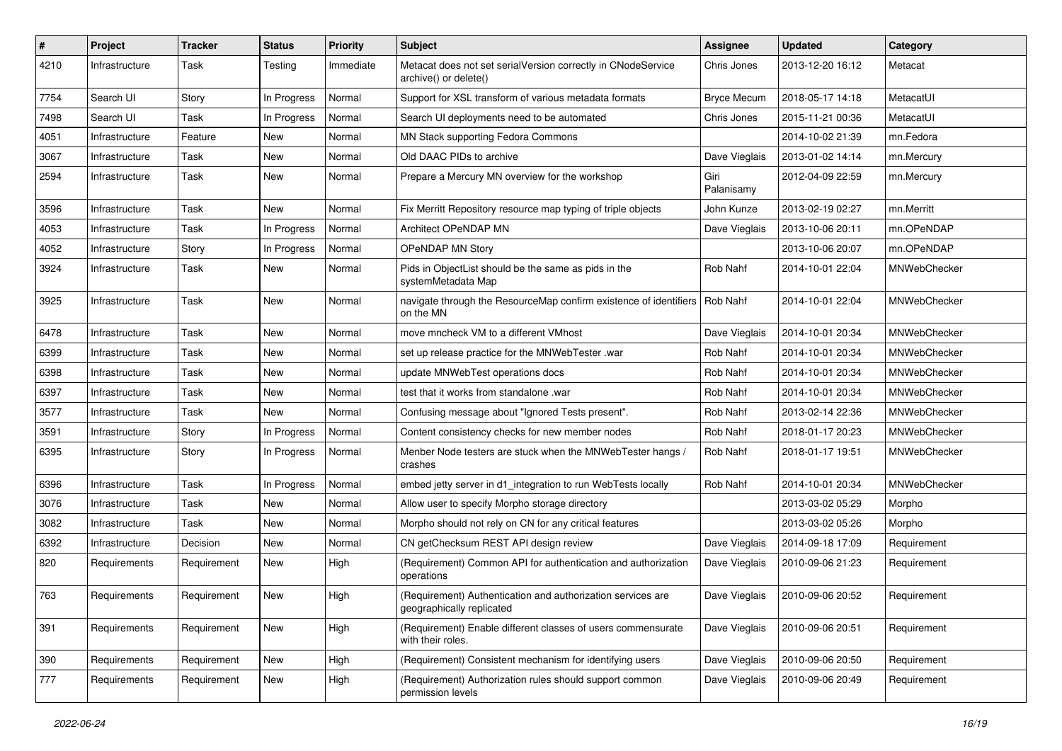| #    | Project        | <b>Tracker</b> | <b>Status</b> | <b>Priority</b> | <b>Subject</b>                                                                           | <b>Assignee</b>    | <b>Updated</b>   | Category            |
|------|----------------|----------------|---------------|-----------------|------------------------------------------------------------------------------------------|--------------------|------------------|---------------------|
| 4210 | Infrastructure | Task           | Testing       | Immediate       | Metacat does not set serialVersion correctly in CNodeService<br>archive() or delete()    | Chris Jones        | 2013-12-20 16:12 | Metacat             |
| 7754 | Search UI      | Story          | In Progress   | Normal          | Support for XSL transform of various metadata formats                                    | <b>Bryce Mecum</b> | 2018-05-17 14:18 | MetacatUI           |
| 7498 | Search UI      | Task           | In Progress   | Normal          | Search UI deployments need to be automated                                               | Chris Jones        | 2015-11-21 00:36 | MetacatUI           |
| 4051 | Infrastructure | Feature        | New           | Normal          | MN Stack supporting Fedora Commons                                                       |                    | 2014-10-02 21:39 | mn.Fedora           |
| 3067 | Infrastructure | Task           | New           | Normal          | Old DAAC PIDs to archive                                                                 | Dave Vieglais      | 2013-01-02 14:14 | mn.Mercury          |
| 2594 | Infrastructure | Task           | New           | Normal          | Prepare a Mercury MN overview for the workshop                                           | Giri<br>Palanisamy | 2012-04-09 22:59 | mn.Mercury          |
| 3596 | Infrastructure | Task           | New           | Normal          | Fix Merritt Repository resource map typing of triple objects                             | John Kunze         | 2013-02-19 02:27 | mn.Merritt          |
| 4053 | Infrastructure | Task           | In Progress   | Normal          | Architect OPeNDAP MN                                                                     | Dave Vieglais      | 2013-10-06 20:11 | mn.OPeNDAP          |
| 4052 | Infrastructure | Story          | In Progress   | Normal          | OPeNDAP MN Story                                                                         |                    | 2013-10-06 20:07 | mn.OPeNDAP          |
| 3924 | Infrastructure | Task           | New           | Normal          | Pids in ObjectList should be the same as pids in the<br>systemMetadata Map               | Rob Nahf           | 2014-10-01 22:04 | MNWebChecker        |
| 3925 | Infrastructure | Task           | New           | Normal          | navigate through the ResourceMap confirm existence of identifiers<br>on the MN           | Rob Nahf           | 2014-10-01 22:04 | <b>MNWebChecker</b> |
| 6478 | Infrastructure | Task           | New           | Normal          | move mncheck VM to a different VMhost                                                    | Dave Vieglais      | 2014-10-01 20:34 | MNWebChecker        |
| 6399 | Infrastructure | Task           | New           | Normal          | set up release practice for the MNWebTester .war                                         | Rob Nahf           | 2014-10-01 20:34 | MNWebChecker        |
| 6398 | Infrastructure | Task           | New           | Normal          | update MNWebTest operations docs                                                         | Rob Nahf           | 2014-10-01 20:34 | MNWebChecker        |
| 6397 | Infrastructure | Task           | New           | Normal          | test that it works from standalone .war                                                  | Rob Nahf           | 2014-10-01 20:34 | MNWebChecker        |
| 3577 | Infrastructure | Task           | New           | Normal          | Confusing message about "Ignored Tests present".                                         | Rob Nahf           | 2013-02-14 22:36 | MNWebChecker        |
| 3591 | Infrastructure | Story          | In Progress   | Normal          | Content consistency checks for new member nodes                                          | Rob Nahf           | 2018-01-17 20:23 | MNWebChecker        |
| 6395 | Infrastructure | Story          | In Progress   | Normal          | Menber Node testers are stuck when the MNWebTester hangs /<br>crashes                    | Rob Nahf           | 2018-01-17 19:51 | MNWebChecker        |
| 6396 | Infrastructure | Task           | In Progress   | Normal          | embed jetty server in d1 integration to run WebTests locally                             | Rob Nahf           | 2014-10-01 20:34 | MNWebChecker        |
| 3076 | Infrastructure | Task           | <b>New</b>    | Normal          | Allow user to specify Morpho storage directory                                           |                    | 2013-03-02 05:29 | Morpho              |
| 3082 | Infrastructure | Task           | New           | Normal          | Morpho should not rely on CN for any critical features                                   |                    | 2013-03-02 05:26 | Morpho              |
| 6392 | Infrastructure | Decision       | New           | Normal          | CN getChecksum REST API design review                                                    | Dave Vieglais      | 2014-09-18 17:09 | Requirement         |
| 820  | Requirements   | Requirement    | New           | High            | (Requirement) Common API for authentication and authorization<br>operations              | Dave Vieglais      | 2010-09-06 21:23 | Requirement         |
| 763  | Requirements   | Requirement    | <b>New</b>    | High            | (Requirement) Authentication and authorization services are<br>geographically replicated | Dave Vieglais      | 2010-09-06 20:52 | Requirement         |
| 391  | Requirements   | Requirement    | New           | High            | (Requirement) Enable different classes of users commensurate<br>with their roles.        | Dave Vieglais      | 2010-09-06 20:51 | Requirement         |
| 390  | Requirements   | Requirement    | <b>New</b>    | High            | (Requirement) Consistent mechanism for identifying users                                 | Dave Vieglais      | 2010-09-06 20:50 | Requirement         |
| 777  | Requirements   | Requirement    | New           | High            | (Requirement) Authorization rules should support common<br>permission levels             | Dave Vieglais      | 2010-09-06 20:49 | Requirement         |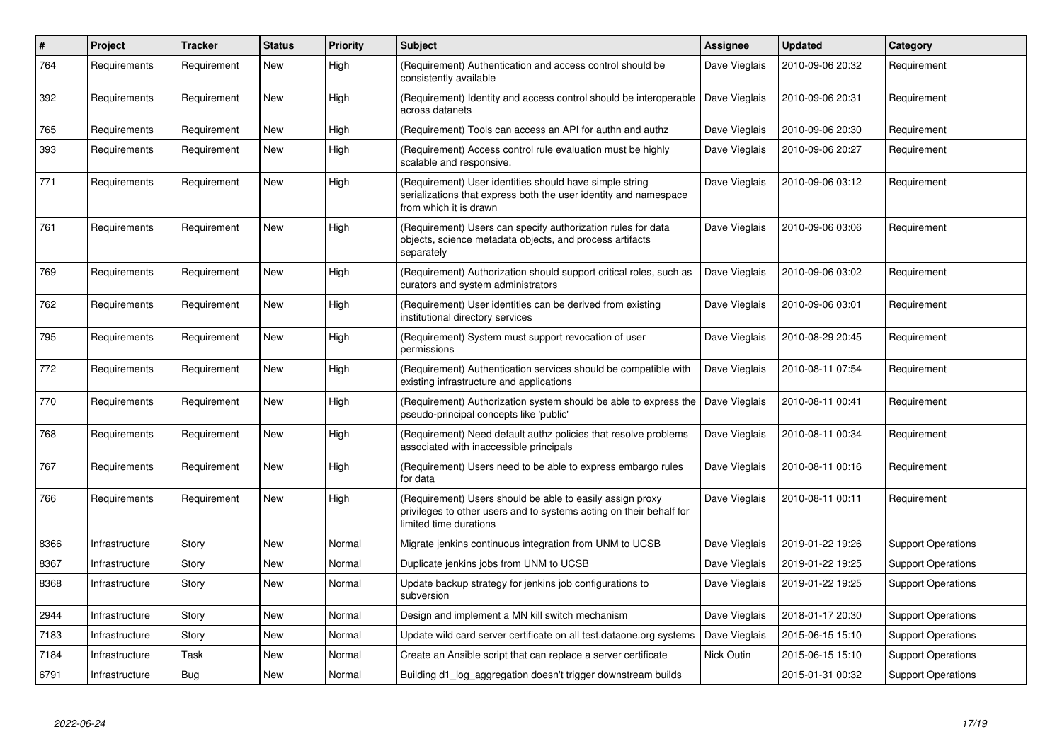| $\#$ | Project        | <b>Tracker</b> | <b>Status</b> | <b>Priority</b> | <b>Subject</b>                                                                                                                                             | Assignee      | <b>Updated</b>   | Category                  |
|------|----------------|----------------|---------------|-----------------|------------------------------------------------------------------------------------------------------------------------------------------------------------|---------------|------------------|---------------------------|
| 764  | Requirements   | Requirement    | New           | High            | (Requirement) Authentication and access control should be<br>consistently available                                                                        | Dave Vieglais | 2010-09-06 20:32 | Requirement               |
| 392  | Requirements   | Requirement    | New           | High            | (Requirement) Identity and access control should be interoperable<br>across datanets                                                                       | Dave Vieglais | 2010-09-06 20:31 | Requirement               |
| 765  | Requirements   | Requirement    | New           | High            | (Requirement) Tools can access an API for authn and authz                                                                                                  | Dave Vieglais | 2010-09-06 20:30 | Requirement               |
| 393  | Requirements   | Requirement    | New           | High            | (Requirement) Access control rule evaluation must be highly<br>scalable and responsive.                                                                    | Dave Vieglais | 2010-09-06 20:27 | Requirement               |
| 771  | Requirements   | Requirement    | New           | High            | (Requirement) User identities should have simple string<br>serializations that express both the user identity and namespace<br>from which it is drawn      | Dave Vieglais | 2010-09-06 03:12 | Requirement               |
| 761  | Requirements   | Requirement    | New           | High            | (Requirement) Users can specify authorization rules for data<br>objects, science metadata objects, and process artifacts<br>separately                     | Dave Vieglais | 2010-09-06 03:06 | Requirement               |
| 769  | Requirements   | Requirement    | New           | High            | (Requirement) Authorization should support critical roles, such as<br>curators and system administrators                                                   | Dave Vieglais | 2010-09-06 03:02 | Requirement               |
| 762  | Requirements   | Requirement    | New           | High            | (Requirement) User identities can be derived from existing<br>institutional directory services                                                             | Dave Vieglais | 2010-09-06 03:01 | Requirement               |
| 795  | Requirements   | Requirement    | New           | High            | (Requirement) System must support revocation of user<br>permissions                                                                                        | Dave Vieglais | 2010-08-29 20:45 | Requirement               |
| 772  | Requirements   | Requirement    | New           | High            | (Requirement) Authentication services should be compatible with<br>existing infrastructure and applications                                                | Dave Vieglais | 2010-08-11 07:54 | Requirement               |
| 770  | Requirements   | Requirement    | New           | High            | (Requirement) Authorization system should be able to express the<br>pseudo-principal concepts like 'public'                                                | Dave Vieglais | 2010-08-11 00:41 | Requirement               |
| 768  | Requirements   | Requirement    | New           | High            | (Requirement) Need default authz policies that resolve problems<br>associated with inaccessible principals                                                 | Dave Vieglais | 2010-08-11 00:34 | Requirement               |
| 767  | Requirements   | Requirement    | New           | High            | (Requirement) Users need to be able to express embargo rules<br>for data                                                                                   | Dave Vieglais | 2010-08-11 00:16 | Requirement               |
| 766  | Requirements   | Requirement    | New           | High            | (Requirement) Users should be able to easily assign proxy<br>privileges to other users and to systems acting on their behalf for<br>limited time durations | Dave Vieglais | 2010-08-11 00:11 | Requirement               |
| 8366 | Infrastructure | Story          | New           | Normal          | Migrate jenkins continuous integration from UNM to UCSB                                                                                                    | Dave Vieglais | 2019-01-22 19:26 | <b>Support Operations</b> |
| 8367 | Infrastructure | Story          | New           | Normal          | Duplicate jenkins jobs from UNM to UCSB                                                                                                                    | Dave Vieglais | 2019-01-22 19:25 | <b>Support Operations</b> |
| 8368 | Infrastructure | Story          | New           | Normal          | Update backup strategy for jenkins job configurations to<br>subversion                                                                                     | Dave Vieglais | 2019-01-22 19:25 | <b>Support Operations</b> |
| 2944 | Infrastructure | Story          | <b>New</b>    | Normal          | Design and implement a MN kill switch mechanism                                                                                                            | Dave Vieglais | 2018-01-17 20:30 | <b>Support Operations</b> |
| 7183 | Infrastructure | Story          | New           | Normal          | Update wild card server certificate on all test.dataone.org systems                                                                                        | Dave Vieglais | 2015-06-15 15:10 | <b>Support Operations</b> |
| 7184 | Infrastructure | Task           | New           | Normal          | Create an Ansible script that can replace a server certificate                                                                                             | Nick Outin    | 2015-06-15 15:10 | <b>Support Operations</b> |
| 6791 | Infrastructure | <b>Bug</b>     | New           | Normal          | Building d1_log_aggregation doesn't trigger downstream builds                                                                                              |               | 2015-01-31 00:32 | <b>Support Operations</b> |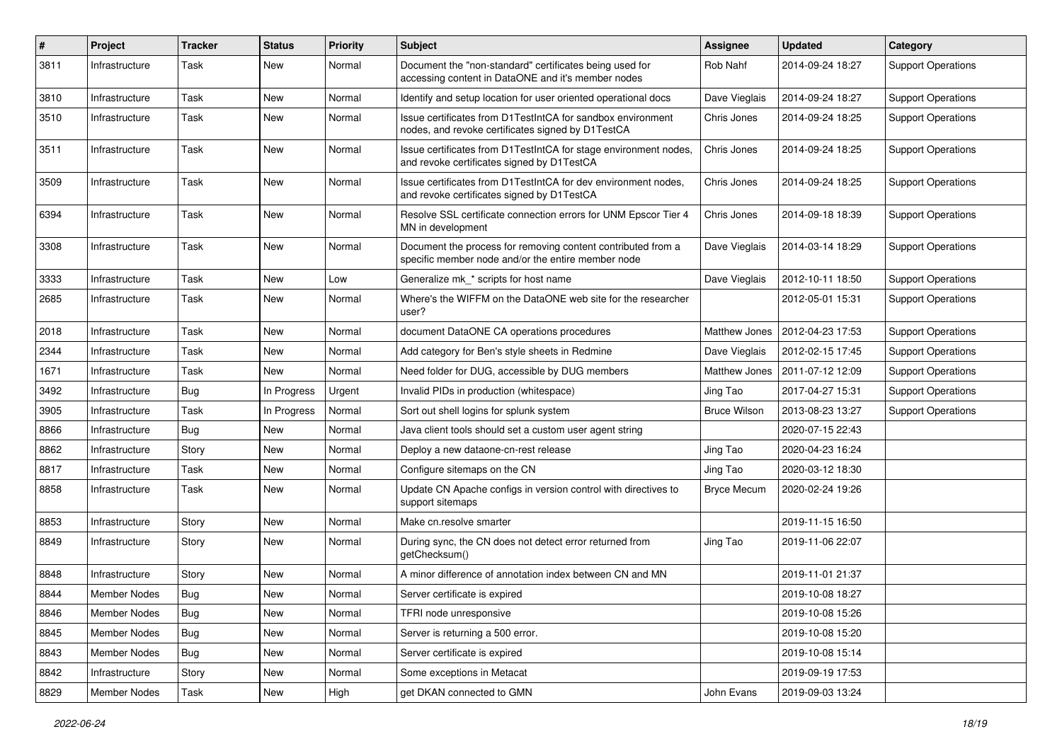| $\vert$ # | Project        | <b>Tracker</b> | <b>Status</b> | <b>Priority</b> | <b>Subject</b>                                                                                                     | Assignee             | <b>Updated</b>   | Category                  |
|-----------|----------------|----------------|---------------|-----------------|--------------------------------------------------------------------------------------------------------------------|----------------------|------------------|---------------------------|
| 3811      | Infrastructure | Task           | New           | Normal          | Document the "non-standard" certificates being used for<br>accessing content in DataONE and it's member nodes      | Rob Nahf             | 2014-09-24 18:27 | <b>Support Operations</b> |
| 3810      | Infrastructure | Task           | New           | Normal          | Identify and setup location for user oriented operational docs                                                     | Dave Vieglais        | 2014-09-24 18:27 | <b>Support Operations</b> |
| 3510      | Infrastructure | Task           | New           | Normal          | Issue certificates from D1TestIntCA for sandbox environment<br>nodes, and revoke certificates signed by D1TestCA   | Chris Jones          | 2014-09-24 18:25 | <b>Support Operations</b> |
| 3511      | Infrastructure | Task           | New           | Normal          | Issue certificates from D1TestIntCA for stage environment nodes,<br>and revoke certificates signed by D1TestCA     | Chris Jones          | 2014-09-24 18:25 | <b>Support Operations</b> |
| 3509      | Infrastructure | Task           | <b>New</b>    | Normal          | Issue certificates from D1TestIntCA for dev environment nodes,<br>and revoke certificates signed by D1TestCA       | Chris Jones          | 2014-09-24 18:25 | <b>Support Operations</b> |
| 6394      | Infrastructure | Task           | New           | Normal          | Resolve SSL certificate connection errors for UNM Epscor Tier 4<br>MN in development                               | Chris Jones          | 2014-09-18 18:39 | <b>Support Operations</b> |
| 3308      | Infrastructure | Task           | New           | Normal          | Document the process for removing content contributed from a<br>specific member node and/or the entire member node | Dave Vieglais        | 2014-03-14 18:29 | <b>Support Operations</b> |
| 3333      | Infrastructure | Task           | New           | Low             | Generalize mk * scripts for host name                                                                              | Dave Vieglais        | 2012-10-11 18:50 | <b>Support Operations</b> |
| 2685      | Infrastructure | Task           | New           | Normal          | Where's the WIFFM on the DataONE web site for the researcher<br>user?                                              |                      | 2012-05-01 15:31 | <b>Support Operations</b> |
| 2018      | Infrastructure | Task           | New           | Normal          | document DataONE CA operations procedures                                                                          | <b>Matthew Jones</b> | 2012-04-23 17:53 | <b>Support Operations</b> |
| 2344      | Infrastructure | Task           | New           | Normal          | Add category for Ben's style sheets in Redmine                                                                     | Dave Vieglais        | 2012-02-15 17:45 | <b>Support Operations</b> |
| 1671      | Infrastructure | Task           | New           | Normal          | Need folder for DUG, accessible by DUG members                                                                     | <b>Matthew Jones</b> | 2011-07-12 12:09 | <b>Support Operations</b> |
| 3492      | Infrastructure | <b>Bug</b>     | In Progress   | Urgent          | Invalid PIDs in production (whitespace)                                                                            | Jing Tao             | 2017-04-27 15:31 | <b>Support Operations</b> |
| 3905      | Infrastructure | Task           | In Progress   | Normal          | Sort out shell logins for splunk system                                                                            | <b>Bruce Wilson</b>  | 2013-08-23 13:27 | <b>Support Operations</b> |
| 8866      | Infrastructure | <b>Bug</b>     | New           | Normal          | Java client tools should set a custom user agent string                                                            |                      | 2020-07-15 22:43 |                           |
| 8862      | Infrastructure | Story          | New           | Normal          | Deploy a new dataone-cn-rest release                                                                               | Jing Tao             | 2020-04-23 16:24 |                           |
| 8817      | Infrastructure | Task           | New           | Normal          | Configure sitemaps on the CN                                                                                       | Jing Tao             | 2020-03-12 18:30 |                           |
| 8858      | Infrastructure | Task           | New           | Normal          | Update CN Apache configs in version control with directives to<br>support sitemaps                                 | <b>Bryce Mecum</b>   | 2020-02-24 19:26 |                           |
| 8853      | Infrastructure | Story          | New           | Normal          | Make cn.resolve smarter                                                                                            |                      | 2019-11-15 16:50 |                           |
| 8849      | Infrastructure | Story          | New           | Normal          | During sync, the CN does not detect error returned from<br>getChecksum()                                           | Jing Tao             | 2019-11-06 22:07 |                           |
| 8848      | Infrastructure | Story          | New           | Normal          | A minor difference of annotation index between CN and MN                                                           |                      | 2019-11-01 21:37 |                           |
| 8844      | Member Nodes   | Bug            | New           | Normal          | Server certificate is expired                                                                                      |                      | 2019-10-08 18:27 |                           |
| 8846      | Member Nodes   | <b>Bug</b>     | New           | Normal          | TFRI node unresponsive                                                                                             |                      | 2019-10-08 15:26 |                           |
| 8845      | Member Nodes   | <b>Bug</b>     | New           | Normal          | Server is returning a 500 error.                                                                                   |                      | 2019-10-08 15:20 |                           |
| 8843      | Member Nodes   | <b>Bug</b>     | New           | Normal          | Server certificate is expired                                                                                      |                      | 2019-10-08 15:14 |                           |
| 8842      | Infrastructure | Story          | New           | Normal          | Some exceptions in Metacat                                                                                         |                      | 2019-09-19 17:53 |                           |
| 8829      | Member Nodes   | Task           | New           | High            | get DKAN connected to GMN                                                                                          | John Evans           | 2019-09-03 13:24 |                           |